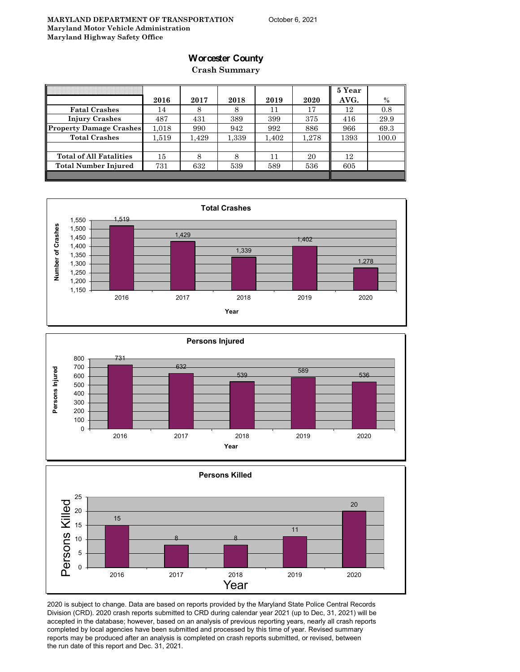### **Worcester County**

**Crash Summary**

|                                | 2016  | 2017  | 2018  | 2019  | 2020  | 5 Year<br>AVG. | $\%$  |
|--------------------------------|-------|-------|-------|-------|-------|----------------|-------|
| <b>Fatal Crashes</b>           | 14    | 8     | 8     | 11    | 17    | 12             | 0.8   |
| <b>Injury Crashes</b>          | 487   | 431   | 389   | 399   | 375   | 416            | 29.9  |
| <b>Property Damage Crashes</b> | 1.018 | 990   | 942   | 992   | 886   | 966            | 69.3  |
| <b>Total Crashes</b>           | 1.519 | 1,429 | 1,339 | 1,402 | 1,278 | 1393           | 100.0 |
|                                |       |       |       |       |       |                |       |
| <b>Total of All Fatalities</b> | 15    |       | 8     | 11    | 20    | 12             |       |
| <b>Total Number Injured</b>    | 731   | 632   | 539   | 589   | 536   | 605            |       |
|                                |       |       |       |       |       |                |       |







2020 is subject to change. Data are based on reports provided by the Maryland State Police Central Records Division (CRD). 2020 crash reports submitted to CRD during calendar year 2021 (up to Dec, 31, 2021) will be accepted in the database; however, based on an analysis of previous reporting years, nearly all crash reports completed by local agencies have been submitted and processed by this time of year. Revised summary reports may be produced after an analysis is completed on crash reports submitted, or revised, between the run date of this report and Dec. 31, 2021.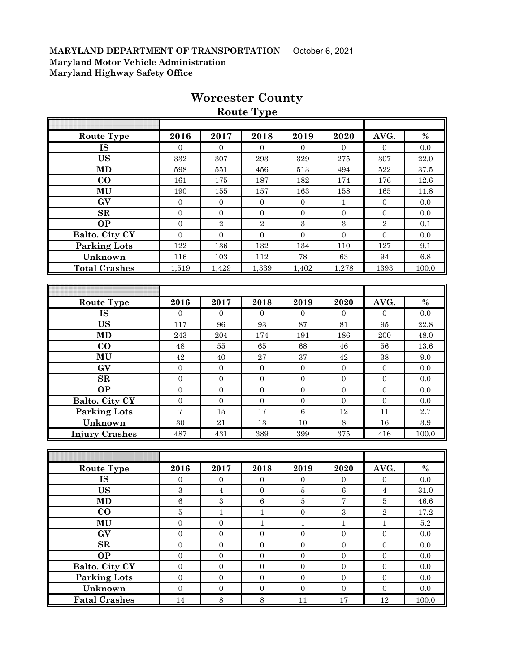| <b>Route Type</b>      |                  |                  |                  |                  |                  |                  |           |  |  |  |
|------------------------|------------------|------------------|------------------|------------------|------------------|------------------|-----------|--|--|--|
|                        |                  |                  |                  |                  |                  |                  |           |  |  |  |
| <b>Route Type</b>      | 2016             | 2017             | 2018             | 2019             | 2020             | AVG.             | $\%$      |  |  |  |
| IS                     | $\overline{0}$   | $\mathbf{0}$     | $\mathbf{0}$     | $\overline{0}$   | $\theta$         | $\mathbf{0}$     | 0.0       |  |  |  |
| <b>US</b>              | 332              | 307              | 293              | 329              | $275\,$          | 307              | 22.0      |  |  |  |
| <b>MD</b>              | 598              | 551              | 456              | 513              | 494              | 522              | 37.5      |  |  |  |
| $\bf CO$               | 161              | 175              | 187              | 182              | 174              | 176              | 12.6      |  |  |  |
| MU                     | 190              | 155              | 157              | 163              | 158              | 165              | 11.8      |  |  |  |
| GV                     | $\overline{0}$   | $\overline{0}$   | $\boldsymbol{0}$ | $\boldsymbol{0}$ | 1                | $\mathbf{0}$     | 0.0       |  |  |  |
| $\mathbf{SR}$          | $\boldsymbol{0}$ | $\mathbf{0}$     | $\boldsymbol{0}$ | $\boldsymbol{0}$ | $\overline{0}$   | $\mathbf{0}$     | 0.0       |  |  |  |
| <b>OP</b>              | $\mathbf{0}$     | $\,2$            | $\sqrt{2}$       | $\boldsymbol{3}$ | $\boldsymbol{3}$ | $\sqrt{2}$       | 0.1       |  |  |  |
| Balto. City CY         | $\boldsymbol{0}$ | $\boldsymbol{0}$ | $\boldsymbol{0}$ | $\mathbf{0}$     | $\boldsymbol{0}$ | $\boldsymbol{0}$ | $0.0\,$   |  |  |  |
| <b>Parking Lots</b>    | 122              | 136              | 132              | 134              | 110              | 127              | 9.1       |  |  |  |
| Unknown                | 116              | 103              | $112\,$          | 78               | 63               | 94               | $6.8\,$   |  |  |  |
| <b>Total Crashes</b>   | 1,519            | 1,429            | 1,339            | 1,402            | 1,278            | 1393             | 100.0     |  |  |  |
|                        |                  |                  |                  |                  |                  |                  |           |  |  |  |
|                        |                  |                  |                  |                  |                  |                  |           |  |  |  |
| <b>Route Type</b>      | 2016             | 2017             | 2018             | 2019             | 2020             | AVG.             | $\%$      |  |  |  |
| <b>IS</b>              | 0                | $\Omega$         | $\Omega$         | $\Omega$         | $\Omega$         | $\Omega$         | 0.0       |  |  |  |
| <b>US</b>              | 117              | 96               | 93               | 87               | 81               | 95               | 22.8      |  |  |  |
| <b>MD</b>              | 243              | 204              | 174              | 191              | 186              | 200              | 48.0      |  |  |  |
| $\bf CO$               | 48               | 55               | 65               | 68               | 46               | 56               | 13.6      |  |  |  |
| MU                     | 42               | 40               | $\sqrt{27}$      | $\rm 37$         | 42               | $38\,$           | 9.0       |  |  |  |
| GV                     | $\boldsymbol{0}$ | $\boldsymbol{0}$ | $\boldsymbol{0}$ | $\boldsymbol{0}$ | $\overline{0}$   | $\overline{0}$   | $0.0\,$   |  |  |  |
| SR                     | $\boldsymbol{0}$ | $\mathbf{0}$     | $\mathbf{0}$     | $\boldsymbol{0}$ | $\overline{0}$   | $\mathbf{0}$     | 0.0       |  |  |  |
| <b>OP</b>              | $\boldsymbol{0}$ | $\mathbf{0}$     | $\boldsymbol{0}$ | $\boldsymbol{0}$ | $\overline{0}$   | $\mathbf{0}$     | 0.0       |  |  |  |
| Balto. City CY         | $\overline{0}$   | $\boldsymbol{0}$ | $\boldsymbol{0}$ | $\boldsymbol{0}$ | $\overline{0}$   | $\mathbf{0}$     | 0.0       |  |  |  |
| <b>Parking Lots</b>    | $\overline{7}$   | 15               | 17               | $\,6\,$          | 12               | 11               | 2.7       |  |  |  |
| Unknown                | 30               | 21               | 13               | 10               | 8                | 16               | $\!.9$    |  |  |  |
| <b>Injury Crashes</b>  | 487              | 431              | 389              | 399              | 375              | 416              | 100.0     |  |  |  |
|                        |                  |                  |                  |                  |                  |                  |           |  |  |  |
|                        |                  |                  |                  |                  |                  |                  |           |  |  |  |
| Route Type             | 2016             | 2017             | 2018             | 2019             | 2020             | AVG.             | $\%$      |  |  |  |
| IS                     | $\mathbf{0}$     | $\boldsymbol{0}$ | $\boldsymbol{0}$ | $\boldsymbol{0}$ | $\boldsymbol{0}$ | $\boldsymbol{0}$ | 0.0       |  |  |  |
| <b>US</b>              | $\,3$            | $\boldsymbol{4}$ | $\boldsymbol{0}$ | 5                | $\,6\,$          | $\overline{4}$   | $31.0\,$  |  |  |  |
| <b>MD</b>              | $6\phantom{a}$   | $\overline{3}$   | $\,6$            | $\overline{5}$   | $\overline{7}$   | $\bf 5$          | 46.6      |  |  |  |
| CO                     | $\overline{5}$   | $1\,$            | $\mathbf{1}$     | $\boldsymbol{0}$ | $\overline{3}$   | $\sqrt{2}$       | $17.2\,$  |  |  |  |
| MU                     | $\boldsymbol{0}$ | $\boldsymbol{0}$ | $\mathbf{1}$     | $\,1$            | $\,1$            | $\,1\,$          | $5.2\,$   |  |  |  |
| $\mathbf{G}\mathbf{V}$ | $\boldsymbol{0}$ | $\mathbf 0$      | $\boldsymbol{0}$ | $\boldsymbol{0}$ | $\boldsymbol{0}$ | $\boldsymbol{0}$ | $0.0\,$   |  |  |  |
| $\mathbf{SR}$          | $\boldsymbol{0}$ | $\boldsymbol{0}$ | $\boldsymbol{0}$ | $\boldsymbol{0}$ | $\boldsymbol{0}$ | $\boldsymbol{0}$ | 0.0       |  |  |  |
| <b>OP</b>              | $\boldsymbol{0}$ | $\boldsymbol{0}$ | $\boldsymbol{0}$ | $\boldsymbol{0}$ | $\boldsymbol{0}$ | $\boldsymbol{0}$ | $0.0\,$   |  |  |  |
| Balto. City CY         | $\boldsymbol{0}$ | $\boldsymbol{0}$ | $\boldsymbol{0}$ | $\boldsymbol{0}$ | $\boldsymbol{0}$ | $\boldsymbol{0}$ | $0.0\,$   |  |  |  |
| <b>Parking Lots</b>    | $\boldsymbol{0}$ | $\boldsymbol{0}$ | $\boldsymbol{0}$ | $\boldsymbol{0}$ | $\boldsymbol{0}$ | $\boldsymbol{0}$ | $0.0\,$   |  |  |  |
| Unknown                | $\boldsymbol{0}$ | $\boldsymbol{0}$ | $\boldsymbol{0}$ | $\boldsymbol{0}$ | $\boldsymbol{0}$ | $\boldsymbol{0}$ | 0.0       |  |  |  |
| <b>Fatal Crashes</b>   | $14\,$           | $8\,$            | $8\,$            | $11\,$           | $17\,$           | $12\,$           | $100.0\,$ |  |  |  |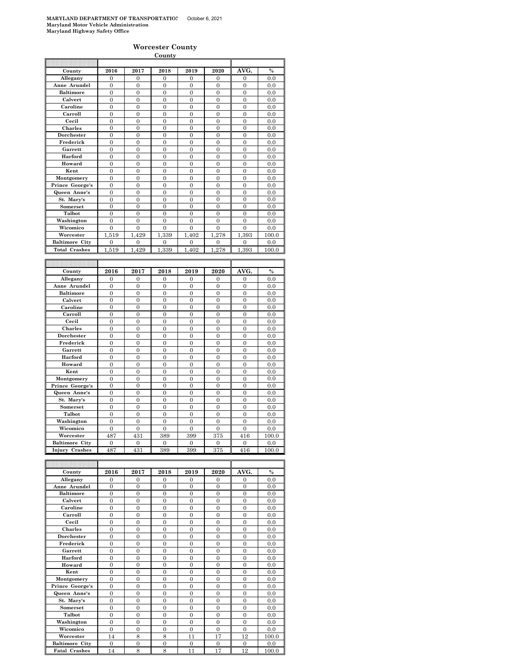|                       |                  |                  | <b>County</b>  |                  |                |                  |               |
|-----------------------|------------------|------------------|----------------|------------------|----------------|------------------|---------------|
|                       |                  |                  |                |                  |                |                  |               |
| County                | 2016             | 2017             | 2018           | 2019             | 2020           | AVG.             | $\%$          |
| Allegany              | 0                | 0                | 0              | 0                | 0              | 0                | 0.0           |
| Anne Arundel          | $\overline{0}$   | $\mathbf{0}$     | $\overline{0}$ | $\mathbf{0}$     | $\overline{0}$ | $\overline{0}$   | 0.0           |
| <b>Baltimore</b>      | $\overline{0}$   | $\overline{0}$   | $\overline{0}$ | $\overline{0}$   | $\overline{0}$ | $\overline{0}$   | 0.0           |
| Calvert               | $\mathbf{0}$     | $\boldsymbol{0}$ | $\mathbf{0}$   | $\boldsymbol{0}$ | $\mathbf{0}$   | $\boldsymbol{0}$ | 0.0           |
| Caroline              | $\overline{0}$   | $\overline{0}$   | $\overline{0}$ | $\overline{0}$   | $\overline{0}$ | $\overline{0}$   | 0.0           |
| Carroll               | $\overline{0}$   | $\overline{0}$   | $\overline{0}$ | $\overline{0}$   | $\overline{0}$ | $\overline{0}$   | 0.0           |
| Cecil                 | $\overline{0}$   | $\theta$         | $\theta$       | $\overline{0}$   | $\theta$       | $\theta$         | 0.0           |
| Charles               | $\overline{0}$   | $\mathbf{0}$     | $\overline{0}$ | $\mathbf{0}$     | $\mathbf{0}$   | $\mathbf{0}$     | 0.0           |
| Dorchester            | $\overline{0}$   | $\overline{0}$   | $\overline{0}$ | $\overline{0}$   | $\overline{0}$ | $\overline{0}$   | 0.0           |
| Frederick             | $\mathbf{0}$     | $\mathbf{0}$     | $\overline{0}$ | $\boldsymbol{0}$ | $\mathbf{0}$   | $\mathbf{0}$     | 0.0           |
| Garrett               | $\overline{0}$   | $\theta$         | $\theta$       | $\overline{0}$   | $\theta$       | $\theta$         | 0.0           |
| Harford               | $\overline{0}$   | $\mathbf{0}$     | $\overline{0}$ | $\overline{0}$   | $\overline{0}$ | $\overline{0}$   | 0.0           |
| Howard                | $\overline{0}$   | $\overline{0}$   | $\overline{0}$ | $\overline{0}$   | $\overline{0}$ | $\overline{0}$   | 0.0           |
| Kent                  | $\mathbf{0}$     | $\boldsymbol{0}$ | $\mathbf{0}$   | $\boldsymbol{0}$ | $\bf{0}$       | $\boldsymbol{0}$ | 0.0           |
| Montgomery            | $\overline{0}$   | $\overline{0}$   | $\overline{0}$ | $\overline{0}$   | $\overline{0}$ | $\overline{0}$   | 0.0           |
| Prince George's       | $\overline{0}$   | $\overline{0}$   | $\overline{0}$ | $\overline{0}$   | $\overline{0}$ | $\overline{0}$   | 0.0           |
| Queen Anne's          | $\overline{0}$   | $\overline{0}$   | $\overline{0}$ | $\overline{0}$   | $\overline{0}$ | $\overline{0}$   | 0.0           |
| St. Mary's            | $\overline{0}$   | $\overline{0}$   | $\overline{0}$ | $\overline{0}$   | $\overline{0}$ | $\overline{0}$   | 0.0           |
| Somerset              | $\overline{0}$   | $\overline{0}$   | $\overline{0}$ | $\overline{0}$   | $\mathbf{0}$   | $\overline{0}$   | 0.0           |
| Talbot                | $\overline{0}$   | $\overline{0}$   | $\overline{0}$ | $\overline{0}$   | $\overline{0}$ | $\overline{0}$   | 0.0           |
| Washington            | $\overline{0}$   | $\overline{0}$   | $\overline{0}$ | $\overline{0}$   | $\overline{0}$ | $\overline{0}$   | 0.0           |
| Wicomico              | $\mathbf{0}$     | $\boldsymbol{0}$ | $\mathbf{0}$   | $\mathbf{0}$     | $\mathbf{0}$   | $\mathbf{0}$     | 0.0           |
| Worcester             | 1.519            | .429<br>1        | 339<br>1.      | 1.402            | 1.278          | 1.393            | 100.0         |
| <b>Baltimore City</b> | 0                | 0                | 0              | $\mathbf{0}$     | $\mathbf{0}$   | $\mathbf{0}$     | 0.0           |
| <b>Total Crashes</b>  | 1,519            | 1,429            | 1,339          | 1,402            | 278<br>1       | 1,393            | 100.0         |
|                       |                  |                  |                |                  |                |                  |               |
|                       |                  |                  |                |                  |                |                  |               |
|                       |                  |                  |                |                  |                |                  |               |
| County                | 2016             | 2017             | 2018           | 2019             | 2020           | AVG.             | $\frac{0}{0}$ |
| Allegany              | $\boldsymbol{0}$ | $\boldsymbol{0}$ | $\mathbf{0}$   | 0                | $\bf{0}$       | $\boldsymbol{0}$ | 0.0           |
| Anne Arundel          | $\overline{0}$   | $\mathbf{0}$     | $\overline{0}$ | $\overline{0}$   | $\overline{0}$ | $\overline{0}$   | 0.0           |
| <b>Baltimore</b>      | $\boldsymbol{0}$ | $\Omega$         | 0              | 0                | $\Omega$       | 0                | 0.0           |
| Calvert               | $\mathbf{0}$     | $\mathbf{0}$     | $\overline{0}$ | $\boldsymbol{0}$ | $\mathbf{0}$   | $\mathbf{0}$     | 0.0           |
| Caroline              | $\mathbf{0}$     | $\boldsymbol{0}$ | $\mathbf{0}$   | $\bf{0}$         | $\bf{0}$       | 0                | 0.0           |
| Carroll               | $\overline{0}$   | $\overline{0}$   | $\overline{0}$ | $\overline{0}$   | $\overline{0}$ | $\overline{0}$   | 0.0           |
| Cecil                 | $\mathbf{0}$     | $\boldsymbol{0}$ | $\mathbf{0}$   | $\mathbf{0}$     | $\mathbf{0}$   | $\boldsymbol{0}$ | 0.0           |
| Charles               | $\overline{0}$   | $\mathbf{0}$     | $\mathbf{0}$   | $\boldsymbol{0}$ | $\mathbf{0}$   | $\boldsymbol{0}$ | 0.0           |
| Dorchester            | $\overline{0}$   | $\overline{0}$   | $\overline{0}$ | $\overline{0}$   | $\overline{0}$ | $\overline{0}$   | 0.0           |
| Frederick             | $\overline{0}$   | $\overline{0}$   | $\overline{0}$ | $\overline{0}$   | $\overline{0}$ | $\overline{0}$   | 0.0           |
| Garrett               | $\overline{0}$   | $\theta$         | $\theta$       | $\overline{0}$   | $\theta$       | $\theta$         | 0.0           |
| Harford               | $\overline{0}$   | $\overline{0}$   | $\overline{0}$ | $\boldsymbol{0}$ | $\overline{0}$ | $\overline{0}$   | 0.0           |
| Howard                | $\mathbf{0}$     | $\boldsymbol{0}$ | $\mathbf{0}$   | $\mathbf{0}$     | 0              | $\boldsymbol{0}$ | 0.0           |
| Kent                  | $\mathbf{0}$     | $\mathbf{0}$     | $\overline{0}$ | $\boldsymbol{0}$ | $\mathbf{0}$   | $\mathbf{0}$     | 0.0           |
| Montgomery            | $\mathbf{0}$     | $\Omega$         | $\mathbf{0}$   | $\mathbf{0}$     | $\theta$       | $\boldsymbol{0}$ | 0.0           |
| Prince George's       | $\overline{0}$   | $\Omega$         | $\overline{0}$ | $\overline{0}$   | $\theta$       | $\overline{0}$   | 0.0           |
| Queen Anne's          | $\mathbf{0}$     | $\boldsymbol{0}$ | $\overline{0}$ | $\mathbf{0}$     | $\mathbf{0}$   | $\overline{0}$   | 0.0           |
| St. Mary's            | $\boldsymbol{0}$ | $\boldsymbol{0}$ | $\mathbf{0}$   | $\boldsymbol{0}$ | $\overline{0}$ | $\overline{0}$   | 0.0           |
| Somerset              | $\overline{0}$   | $\mathbf{0}$     | $\overline{0}$ | $\mathbf{0}$     | $\mathbf{0}$   | $\mathbf{0}$     | 0.0           |
| Talbot                | $\overline{0}$   | $\overline{0}$   | $\overline{0}$ | $\overline{0}$   | $\overline{0}$ | $\overline{0}$   | 0.0           |
| Washington            | $\overline{0}$   | $\theta$         | $\overline{0}$ | $\overline{0}$   | $\overline{0}$ | $\overline{0}$   | 0.0           |
| Wicomico              | $\overline{0}$   | $\overline{0}$   | $\overline{0}$ | $\overline{0}$   | $\overline{0}$ | $\overline{0}$   | 0.0           |
| Worcester             | 487              | 431              | 389            | 399              | 375            | 416              | 100.0         |
| <b>Baltimore City</b> | $\overline{0}$   | $\mathbf{0}$     | $\overline{0}$ | $\overline{0}$   | $\overline{0}$ | $\overline{0}$   | 0.0           |
| Injury Crashes        | 487              | 431              | 389            | 399              | 375            | 416              | 100.0         |

| County                | 2016           | 2017     | 2018     | 2019     | 2020     | AVG.           | $\%$  |
|-----------------------|----------------|----------|----------|----------|----------|----------------|-------|
| Allegany              | $\Omega$       | $\Omega$ | $\Omega$ | $\Omega$ | $\Omega$ | $\Omega$       | 0.0   |
| Anne Arundel          | $\theta$       | $\theta$ | $\Omega$ | $\Omega$ | $\Omega$ | $\Omega$       | 0.0   |
| <b>Baltimore</b>      | $\theta$       | $\theta$ | $\theta$ | $\Omega$ | $\theta$ | $\theta$       | 0.0   |
| Calvert               | $\overline{0}$ | $\theta$ | $\Omega$ | $\Omega$ | $\Omega$ | $\Omega$       | 0.0   |
| Caroline              | $\Omega$       | $\Omega$ | $\Omega$ | $\Omega$ | $\Omega$ | $\theta$       | 0.0   |
| Carroll               | $\Omega$       | $\theta$ | $\Omega$ | $\Omega$ | $\Omega$ | $\Omega$       | 0.0   |
| Cecil                 | $\theta$       | $\theta$ | $\Omega$ | $\Omega$ | $\Omega$ | $\theta$       | 0.0   |
| <b>Charles</b>        | $\Omega$       | $\theta$ | $\theta$ | $\Omega$ | $\Omega$ | $\Omega$       | 0.0   |
| <b>Dorchester</b>     | $\theta$       | $\theta$ | $\theta$ | $\Omega$ | $\theta$ | $\theta$       | 0.0   |
| Frederick             | $\Omega$       | $\theta$ | $\theta$ | $\Omega$ | $\theta$ | $\Omega$       | 0.0   |
| Garrett               | $\Omega$       | $\theta$ | $\Omega$ | $\Omega$ | $\Omega$ | $\Omega$       | 0.0   |
| Harford               | $\Omega$       | $\theta$ | $\theta$ | $\Omega$ | $\theta$ | $\theta$       | 0.0   |
| Howard                | $\theta$       | $\theta$ | $\theta$ | $\Omega$ | $\theta$ | $\theta$       | 0.0   |
| Kent                  | $\Omega$       | $\Omega$ | $\Omega$ | $\Omega$ | $\theta$ | $\Omega$       | 0.0   |
| Montgomery            | $\theta$       | $\Omega$ | $\Omega$ | $\Omega$ | $\Omega$ | $\Omega$       | 0.0   |
| Prince George's       | $\theta$       | $\theta$ | $\Omega$ | $\Omega$ | $\Omega$ | $\Omega$       | 0.0   |
| Queen Anne's          | $\Omega$       | $\theta$ | $\theta$ | $\Omega$ | $\Omega$ | $\theta$       | 0.0   |
| St. Mary's            | $\Omega$       | $\Omega$ | $\theta$ | $\Omega$ | $\Omega$ | $\Omega$       | 0.0   |
| <b>Somerset</b>       | $\overline{0}$ | $\theta$ | $\Omega$ | $\Omega$ | $\Omega$ | $\overline{0}$ | 0.0   |
| Talbot                | $\Omega$       | $\theta$ | $\Omega$ | $\Omega$ | $\Omega$ | $\Omega$       | 0.0   |
| Washington            | $\theta$       | $\theta$ | $\theta$ | $\Omega$ | $\theta$ | $\theta$       | 0.0   |
| Wicomico              | $\Omega$       | $\Omega$ | $\theta$ | $\Omega$ | $\Omega$ | $\Omega$       | 0.0   |
| Worcester             | 14             | 8        | 8        | 11       | 17       | 12             | 100.0 |
| <b>Baltimore City</b> | $\Omega$       | $\theta$ | $\Omega$ | $\Omega$ | $\Omega$ | $\Omega$       | 0.0   |
| <b>Fatal Crashes</b>  | 14             | 8        | 8        | 11       | 17       | 12             | 100.0 |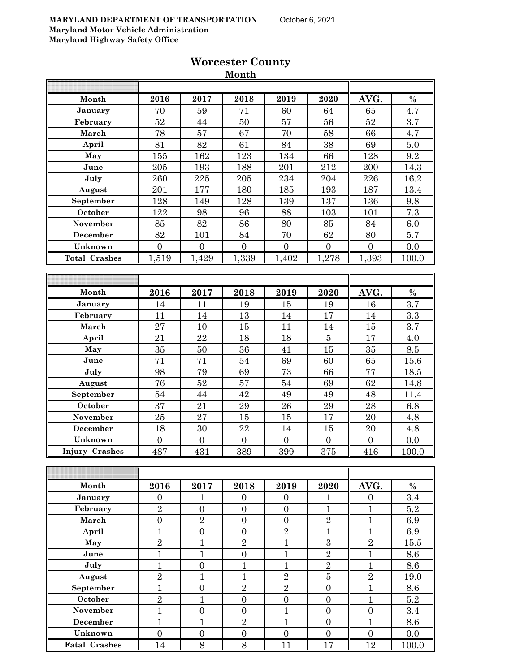|                       |                |                  | <b>TATOIT CIT</b> |                  |                  |                  |                  |
|-----------------------|----------------|------------------|-------------------|------------------|------------------|------------------|------------------|
|                       |                |                  |                   |                  |                  |                  |                  |
| Month                 | 2016           | 2017             | 2018              | 2019             | 2020             | AVG.             | $\%$             |
| January               | 70             | 59               | 71                | 60               | 64               | 65               | 4.7              |
| February              | $\sqrt{52}$    | 44               | $50\,$            | 57               | 56               | $52\,$           | 3.7              |
| March                 | 78             | 57               | 67                | 70               | 58               | 66               | 4.7              |
| April                 | 81             | 82               | 61                | 84               | 38               | 69               | 5.0              |
| May                   | 155            | 162              | 123               | 134              | 66               | 128              | 9.2              |
| June                  | 205            | 193              | 188               | 201              | 212              | 200              | 14.3             |
| July                  | 260            | 225              | 205               | 234              | 204              | 226              | 16.2             |
| August                | 201            | 177              | 180               | 185              | 193              | 187              | 13.4             |
| September             | 128            | 149              | 128               | 139              | 137              | 136              | 9.8              |
| October               | 122            | 98               | 96                | 88               | 103              | 101              | 7.3              |
| November              | 85             | 82               | 86                | 80               | 85               | 84               | 6.0              |
| December              | 82             | 101              | 84                | 70               | 62               | $80\,$           | 5.7              |
| Unknown               | $\overline{0}$ | $\overline{0}$   | $\overline{0}$    | $\boldsymbol{0}$ | $\overline{0}$   | $\overline{0}$   | 0.0              |
| <b>Total Crashes</b>  | 1,519          | 1,429            | 1,339             | 1,402            | 1,278            | 1,393            | 100.0            |
|                       |                |                  |                   |                  |                  |                  |                  |
|                       |                |                  |                   |                  |                  |                  |                  |
| Month                 | 2016           | 2017             | 2018              | 2019             | 2020             | AVG.             | $\%$             |
| January               | 14             | 11               | 19                | 15               | 19               | 16               | $\overline{3.7}$ |
| February              | 11             | 14               | 13                | 14               | 17               | 14               | 3.3              |
| March                 | 27             | 10               | 15                | 11               | 14               | 15               | 3.7              |
| April                 | 21             | 22               | 18                | 18               | $\bf 5$          | 17               | 4.0              |
| May                   | 35             | $50\,$           | 36                | 41               | 15               | 35               | $\!\!\!\!\!8.5$  |
| June                  | 71             | 71               | $54\,$            | 69               | 60               | 65               | 15.6             |
| July                  | 98             | 79               | 69                | 73               | 66               | 77               | 18.5             |
| August                | 76             | $52\,$           | 57                | 54               | 69               | 62               | 14.8             |
| September             | 54             | 44               | 42                | 49               | 49               | 48               | 11.4             |
| October               | 37             | 21               | 29                | 26               | 29               | 28               | 6.8              |
| November              | 25             | 27               | 15                | 15               | 17               | 20               | 4.8              |
| December              | 18             | 30               | 22                | 14               | 15               | $20\,$           | 4.8              |
| Unknown               | $\overline{0}$ | $\boldsymbol{0}$ | $\overline{0}$    | $\boldsymbol{0}$ | $\overline{0}$   | $\boldsymbol{0}$ | 0.0              |
| <b>Injury Crashes</b> | 487            | 431              | 389               | 399              | 375              | 416              | 100.0            |
|                       |                |                  |                   |                  |                  |                  |                  |
|                       |                |                  |                   |                  |                  |                  |                  |
| Month                 | 2016           | 2017             | 2018              | 2019             | 2020             | AVG.             | $\%$             |
| January               | $\overline{0}$ | 1                | $\overline{0}$    | $\overline{0}$   | 1                | $\Omega$         | 3.4              |
| February              | $\sqrt{2}$     | $\boldsymbol{0}$ | $\boldsymbol{0}$  | $\boldsymbol{0}$ | $\mathbf{1}$     | $\mathbf{1}$     | $5.2\,$          |
| March                 | $\overline{0}$ | $\overline{2}$   | $\overline{0}$    | $\boldsymbol{0}$ | $\sqrt{2}$       | $\mathbf{1}$     | 6.9              |
| April                 | $\mathbf{1}$   | $\boldsymbol{0}$ | $\boldsymbol{0}$  | $\overline{2}$   | $\mathbf{1}$     | $\mathbf{1}$     | 6.9              |
| May                   | $\overline{2}$ | $\mathbf{1}$     | $\overline{2}$    | $\mathbf{1}$     | $\overline{3}$   | $\overline{2}$   | 15.5             |
| June                  | $\overline{1}$ | $\mathbf{1}$     | $\boldsymbol{0}$  | $\mathbf{1}$     | $\sqrt{2}$       | $\mathbf{1}$     | 8.6              |
| July                  | $\overline{1}$ | $\boldsymbol{0}$ | $\mathbf{1}$      | $\mathbf{1}$     | $\overline{2}$   | $\mathbf{1}$     | 8.6              |
| August                | $\sqrt{2}$     | $\mathbf{1}$     | $\mathbf{1}$      | $\overline{2}$   | $\overline{5}$   | $\sqrt{2}$       | 19.0             |
| September             | $\mathbf{1}$   | $\overline{0}$   | $\overline{2}$    | $\overline{2}$   | $\overline{0}$   | $\mathbf{1}$     | 8.6              |
| October               | $\overline{2}$ | $\mathbf{1}$     | $\overline{0}$    | $\boldsymbol{0}$ | $\overline{0}$   | $\mathbf{1}$     | 5.2              |
| November              | $\mathbf{1}$   | $\boldsymbol{0}$ | $\overline{0}$    | $\mathbf{1}$     | $\boldsymbol{0}$ | $\boldsymbol{0}$ | 3.4              |
| <b>December</b>       | $\overline{1}$ | $\mathbf{1}$     | $\overline{2}$    | $\mathbf{1}$     | $\overline{0}$   | $\mathbf{1}$     | 8.6              |
|                       |                |                  |                   |                  |                  |                  |                  |

**Unknown** 0 0 0 0 0 0 0.0 **Fatal Crashes** 14 8 8 11 17 12 100.0

#### **Worcester County Month**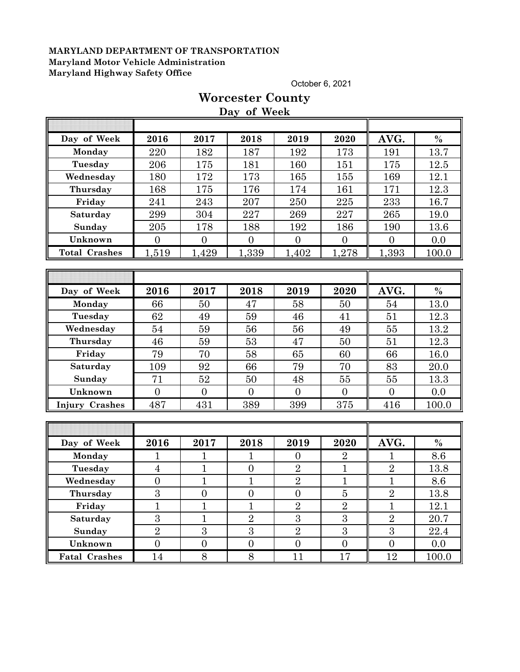October 6, 2021

# **Day of Week Day of Week 2016 2017 2018 2019 2020 AVG. % Monday | 220 | 182 | 187 | 192 | 173 || 191 | 13.7 Tuesday** 206 175 181 160 151 175 12.5 **Wednesday** 180 172 173 165 165 169 169 12.1 **Thursday** 168 175 176 174 161 171 12.3 **Friday | 241 | 243 | 207 | 250 | 225 || 233 | 16.7 Saturday** 299 304 227 269 227 265 19.0 **Sunday** 205 178 188 192 186 190 13.6 **Unknown** 0 0 0 0 0 0 0.0 **Total Crashes** 1,519 1,429 1,339 1,402 1,278 1,393 100.0 **Day of Week 2016 2017 2018 2019 2020 AVG. % Monday | 66 | 50 | 47 | 58 | 50 || 54 | 13.0 Tuesday | 62 | 49 | 59 | 46 | 41 || 51 | 12.3 Wednesday | 54 | 59 | 56 | 56 | 49 || 55 | 13.2 Thursday | 46 | 59 | 53 | 47 | 50 || 51 | 12.3 Friday | 79 | 70 | 58 | 65 | 60 || 66 | 16.0 Saturday | 109 | 92 | 66 | 79 | 70 || 83 | 20.0 Sunday | 71 | 52 | 50 | 48 | 55 || 55 | 13.3 Unknown** 0 0 0 0 0 0 0.0 **Injury Crashes** 487 431 389 399 375 416 100.0 **Day of Week 2016 2017 2018 2019 2020 AVG. % Monday | 1 | 1 | 1 | 0 | 2 || 1 | 8.6 Tuesday** 4 1 0 2 1 2 13.8 **Wednesday** 0 1 1 1 2 1 1 1 8.6 **Thursday |**  $3$  **|**  $0$  **|**  $0$  **|**  $0$  **|**  $5$  **|**  $2$  **|**  $13.8$ **Friday | 1 | 1 | 1 | 2 | 2 | 1 | 12.1 Saturday | 3 | 1 | 2 | 3 | 3 | 2 | 20.7 Sunday | 2 | 3 | 3 | 2 | 3 | 3 | 22.4 Unknown 0 0 0 0 0 0 0 0 0 0 Fatal Crashes** 14 8 8 8 11 17 17 12 100.0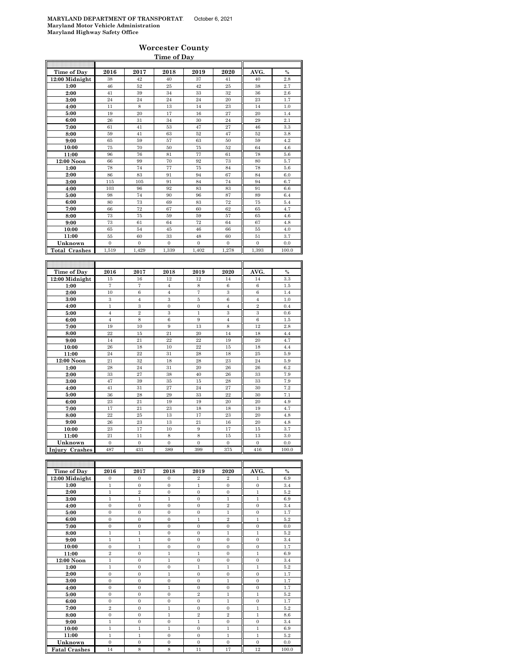#### **Worcester County Time of Day**

| 2016<br>2017<br>2018<br>2019<br>2020<br>Time of Day<br>AVG.<br>$\frac{0}{0}$<br>12:00 Midnight<br>38<br>42<br>40<br>37<br>40<br>2.8<br>41<br>46<br>52<br>42<br>25<br>38<br>1:00<br>25<br>2.7<br>39<br>34<br>32<br>2:00<br>41<br>33<br>36<br>2.6<br>23<br>1.7<br>24<br>24<br>24<br>24<br>20<br>3:00<br>14<br>4:00<br>11<br>8<br>13<br>23<br>14<br>1.0<br>19<br>20<br>17<br>16<br>27<br>20<br>5:00<br>1.4<br>24<br>2.1<br>26<br>31<br>34<br>30<br>29<br>6:00<br>47<br>27<br>46<br>7:00<br>61<br>41<br>53<br>3.3<br>52<br>3.8<br>8:00<br>59<br>41<br>63<br>52<br>47<br>9:00<br>65<br>59<br>57<br>63<br>50<br>59<br>4.2<br>75<br>70<br>50<br>75<br>52<br>64<br>4.6<br>10:00<br>11:00<br>96<br>76<br>81<br>77<br>61<br>78<br>5.6<br>12:00 Noon<br>66<br>99<br>70<br>92<br>73<br>80<br>5.7<br>78<br>74<br>77<br>78<br>1:00<br>75<br>84<br>5.6<br>2:00<br>86<br>83<br>91<br>94<br>67<br>84<br>6.0<br>74<br>6.7<br>3:00<br>115<br>105<br>91<br>84<br>94<br>83<br>4:00<br>103<br>96<br>92<br>83<br>91<br>6.6<br>74<br>98<br>90<br>96<br>87<br>89<br>6.4<br>5:00<br>69<br>83<br>72<br>6:00<br>80<br>73<br>75<br>5.4<br>72<br>7:00<br>66<br>67<br>60<br>62<br>65<br>4.7<br>8:00<br>73<br>75<br>59<br>59<br>57<br>65<br>4.6<br>9:00<br>73<br>61<br>64<br>72<br>64<br>67<br>4.8<br>65<br>54<br>45<br>46<br>66<br>55<br>4.0<br>10:00<br>11:00<br>60<br>33<br>48<br>60<br>51<br>3.7<br>55<br>Unknown<br>$\boldsymbol{0}$<br>$\boldsymbol{0}$<br>$\boldsymbol{0}$<br>$\mathbf{0}$<br>$\boldsymbol{0}$<br>$\bf{0}$<br>0.0<br>1,393<br><b>Total Crashes</b><br>1,519<br>1,429<br>1,339<br>1,402<br>1,278<br>100.0<br>Time of Day<br>2016<br>2017<br>2018<br>2019<br>2020<br>AVG.<br>$\frac{0}{0}$<br>12:00 Midnight<br>12<br>15<br>16<br>12<br>14<br>14<br>3.3<br>7<br>$\overline{7}$<br>8<br>6<br>$\,6$<br>1:00<br>$\overline{4}$<br>1.5<br>10<br>$\scriptstyle{7}$<br>3<br>2:00<br>6<br>$\overline{4}$<br>$\,6$<br>1.4<br>3<br>$\overline{4}$<br>3<br>6<br>$\overline{4}$<br>1.0<br>3:00<br>5<br>$\mathbf{1}$<br>$\overline{2}$<br>3<br>$\boldsymbol{0}$<br>$\mathbf{0}$<br>$\overline{4}$<br>0.4<br>4:00<br>$\overline{2}$<br>3<br>$\,1$<br>3<br>3<br>$\overline{4}$<br>0.6<br>5:00<br>$\overline{6}$<br>$\overline{4}$<br>8<br>9<br>$\overline{4}$<br>$\,6$<br>6:00<br>1.5<br>10<br>$\overline{9}$<br>13<br>8<br>12<br>7:00<br>19<br>2.8<br>20<br>$^{22}$<br>15<br>21<br>14<br>18<br>8:00<br>4.4<br>21<br>9:00<br>14<br>22<br>$^{22}$<br>19<br>20<br>4.7<br>10:00<br>26<br>18<br>10<br>22<br>15<br>18<br>4.4<br>22<br>18<br>25<br>11:00<br>24<br>31<br>28<br>5.9<br>23<br>12:00 Noon<br>21<br>32<br>18<br>28<br>24<br>5.9<br>28<br>20<br>26<br>24<br>31<br>26<br>6.2<br>1:00<br>27<br>40<br>33<br>7.9<br>2:00<br>33<br>38<br>26<br>3:00<br>47<br>39<br>35<br>15<br>28<br>33<br>7.9<br>27<br>24<br>27<br>7.2<br>4:00<br>41<br>31<br>30<br>36<br>28<br>29<br>33<br>22<br>30<br>7.1<br>5:00<br>23<br>21<br>19<br>20<br>6:00<br>19<br>20<br>4.9<br>21<br>23<br>4.7<br>7:00<br>17<br>18<br>18<br>19<br>8:00<br>$^{22}$<br>25<br>13<br>17<br>23<br>20<br>4.8<br>9:00<br>23<br>13<br>21<br>16<br>20<br>26<br>4.8<br>10:00<br>23<br>17<br>10<br>9<br>17<br>15<br>3.7<br>11:00<br>21<br>$_{11}$<br>8<br>8<br>15<br>13<br>3.0<br>$\mathbf{0}$<br>$\mathbf 0$<br>Unknown<br>$\boldsymbol{0}$<br>$\boldsymbol{0}$<br>$\boldsymbol{0}$<br>$\boldsymbol{0}$<br>0.0 |  |  |  |  |
|----------------------------------------------------------------------------------------------------------------------------------------------------------------------------------------------------------------------------------------------------------------------------------------------------------------------------------------------------------------------------------------------------------------------------------------------------------------------------------------------------------------------------------------------------------------------------------------------------------------------------------------------------------------------------------------------------------------------------------------------------------------------------------------------------------------------------------------------------------------------------------------------------------------------------------------------------------------------------------------------------------------------------------------------------------------------------------------------------------------------------------------------------------------------------------------------------------------------------------------------------------------------------------------------------------------------------------------------------------------------------------------------------------------------------------------------------------------------------------------------------------------------------------------------------------------------------------------------------------------------------------------------------------------------------------------------------------------------------------------------------------------------------------------------------------------------------------------------------------------------------------------------------------------------------------------------------------------------------------------------------------------------------------------------------------------------------------------------------------------------------------------------------------------------------------------------------------------------------------------------------------------------------------------------------------------------------------------------------------------------------------------------------------------------------------------------------------------------------------------------------------------------------------------------------------------------------------------------------------------------------------------------------------------------------------------------------------------------------------------------------------------------------------------------------------------------------------------------------------------------------------------------------------------------------------------------------------------------------------------------------------------------------------------------------------------------------------------------------------------------------------------------------------------------------------------------------------------------------------------------------------------------------------------------------------------------------------------|--|--|--|--|
|                                                                                                                                                                                                                                                                                                                                                                                                                                                                                                                                                                                                                                                                                                                                                                                                                                                                                                                                                                                                                                                                                                                                                                                                                                                                                                                                                                                                                                                                                                                                                                                                                                                                                                                                                                                                                                                                                                                                                                                                                                                                                                                                                                                                                                                                                                                                                                                                                                                                                                                                                                                                                                                                                                                                                                                                                                                                                                                                                                                                                                                                                                                                                                                                                                                                                                                                        |  |  |  |  |
|                                                                                                                                                                                                                                                                                                                                                                                                                                                                                                                                                                                                                                                                                                                                                                                                                                                                                                                                                                                                                                                                                                                                                                                                                                                                                                                                                                                                                                                                                                                                                                                                                                                                                                                                                                                                                                                                                                                                                                                                                                                                                                                                                                                                                                                                                                                                                                                                                                                                                                                                                                                                                                                                                                                                                                                                                                                                                                                                                                                                                                                                                                                                                                                                                                                                                                                                        |  |  |  |  |
|                                                                                                                                                                                                                                                                                                                                                                                                                                                                                                                                                                                                                                                                                                                                                                                                                                                                                                                                                                                                                                                                                                                                                                                                                                                                                                                                                                                                                                                                                                                                                                                                                                                                                                                                                                                                                                                                                                                                                                                                                                                                                                                                                                                                                                                                                                                                                                                                                                                                                                                                                                                                                                                                                                                                                                                                                                                                                                                                                                                                                                                                                                                                                                                                                                                                                                                                        |  |  |  |  |
|                                                                                                                                                                                                                                                                                                                                                                                                                                                                                                                                                                                                                                                                                                                                                                                                                                                                                                                                                                                                                                                                                                                                                                                                                                                                                                                                                                                                                                                                                                                                                                                                                                                                                                                                                                                                                                                                                                                                                                                                                                                                                                                                                                                                                                                                                                                                                                                                                                                                                                                                                                                                                                                                                                                                                                                                                                                                                                                                                                                                                                                                                                                                                                                                                                                                                                                                        |  |  |  |  |
|                                                                                                                                                                                                                                                                                                                                                                                                                                                                                                                                                                                                                                                                                                                                                                                                                                                                                                                                                                                                                                                                                                                                                                                                                                                                                                                                                                                                                                                                                                                                                                                                                                                                                                                                                                                                                                                                                                                                                                                                                                                                                                                                                                                                                                                                                                                                                                                                                                                                                                                                                                                                                                                                                                                                                                                                                                                                                                                                                                                                                                                                                                                                                                                                                                                                                                                                        |  |  |  |  |
|                                                                                                                                                                                                                                                                                                                                                                                                                                                                                                                                                                                                                                                                                                                                                                                                                                                                                                                                                                                                                                                                                                                                                                                                                                                                                                                                                                                                                                                                                                                                                                                                                                                                                                                                                                                                                                                                                                                                                                                                                                                                                                                                                                                                                                                                                                                                                                                                                                                                                                                                                                                                                                                                                                                                                                                                                                                                                                                                                                                                                                                                                                                                                                                                                                                                                                                                        |  |  |  |  |
|                                                                                                                                                                                                                                                                                                                                                                                                                                                                                                                                                                                                                                                                                                                                                                                                                                                                                                                                                                                                                                                                                                                                                                                                                                                                                                                                                                                                                                                                                                                                                                                                                                                                                                                                                                                                                                                                                                                                                                                                                                                                                                                                                                                                                                                                                                                                                                                                                                                                                                                                                                                                                                                                                                                                                                                                                                                                                                                                                                                                                                                                                                                                                                                                                                                                                                                                        |  |  |  |  |
|                                                                                                                                                                                                                                                                                                                                                                                                                                                                                                                                                                                                                                                                                                                                                                                                                                                                                                                                                                                                                                                                                                                                                                                                                                                                                                                                                                                                                                                                                                                                                                                                                                                                                                                                                                                                                                                                                                                                                                                                                                                                                                                                                                                                                                                                                                                                                                                                                                                                                                                                                                                                                                                                                                                                                                                                                                                                                                                                                                                                                                                                                                                                                                                                                                                                                                                                        |  |  |  |  |
|                                                                                                                                                                                                                                                                                                                                                                                                                                                                                                                                                                                                                                                                                                                                                                                                                                                                                                                                                                                                                                                                                                                                                                                                                                                                                                                                                                                                                                                                                                                                                                                                                                                                                                                                                                                                                                                                                                                                                                                                                                                                                                                                                                                                                                                                                                                                                                                                                                                                                                                                                                                                                                                                                                                                                                                                                                                                                                                                                                                                                                                                                                                                                                                                                                                                                                                                        |  |  |  |  |
|                                                                                                                                                                                                                                                                                                                                                                                                                                                                                                                                                                                                                                                                                                                                                                                                                                                                                                                                                                                                                                                                                                                                                                                                                                                                                                                                                                                                                                                                                                                                                                                                                                                                                                                                                                                                                                                                                                                                                                                                                                                                                                                                                                                                                                                                                                                                                                                                                                                                                                                                                                                                                                                                                                                                                                                                                                                                                                                                                                                                                                                                                                                                                                                                                                                                                                                                        |  |  |  |  |
|                                                                                                                                                                                                                                                                                                                                                                                                                                                                                                                                                                                                                                                                                                                                                                                                                                                                                                                                                                                                                                                                                                                                                                                                                                                                                                                                                                                                                                                                                                                                                                                                                                                                                                                                                                                                                                                                                                                                                                                                                                                                                                                                                                                                                                                                                                                                                                                                                                                                                                                                                                                                                                                                                                                                                                                                                                                                                                                                                                                                                                                                                                                                                                                                                                                                                                                                        |  |  |  |  |
|                                                                                                                                                                                                                                                                                                                                                                                                                                                                                                                                                                                                                                                                                                                                                                                                                                                                                                                                                                                                                                                                                                                                                                                                                                                                                                                                                                                                                                                                                                                                                                                                                                                                                                                                                                                                                                                                                                                                                                                                                                                                                                                                                                                                                                                                                                                                                                                                                                                                                                                                                                                                                                                                                                                                                                                                                                                                                                                                                                                                                                                                                                                                                                                                                                                                                                                                        |  |  |  |  |
|                                                                                                                                                                                                                                                                                                                                                                                                                                                                                                                                                                                                                                                                                                                                                                                                                                                                                                                                                                                                                                                                                                                                                                                                                                                                                                                                                                                                                                                                                                                                                                                                                                                                                                                                                                                                                                                                                                                                                                                                                                                                                                                                                                                                                                                                                                                                                                                                                                                                                                                                                                                                                                                                                                                                                                                                                                                                                                                                                                                                                                                                                                                                                                                                                                                                                                                                        |  |  |  |  |
|                                                                                                                                                                                                                                                                                                                                                                                                                                                                                                                                                                                                                                                                                                                                                                                                                                                                                                                                                                                                                                                                                                                                                                                                                                                                                                                                                                                                                                                                                                                                                                                                                                                                                                                                                                                                                                                                                                                                                                                                                                                                                                                                                                                                                                                                                                                                                                                                                                                                                                                                                                                                                                                                                                                                                                                                                                                                                                                                                                                                                                                                                                                                                                                                                                                                                                                                        |  |  |  |  |
|                                                                                                                                                                                                                                                                                                                                                                                                                                                                                                                                                                                                                                                                                                                                                                                                                                                                                                                                                                                                                                                                                                                                                                                                                                                                                                                                                                                                                                                                                                                                                                                                                                                                                                                                                                                                                                                                                                                                                                                                                                                                                                                                                                                                                                                                                                                                                                                                                                                                                                                                                                                                                                                                                                                                                                                                                                                                                                                                                                                                                                                                                                                                                                                                                                                                                                                                        |  |  |  |  |
|                                                                                                                                                                                                                                                                                                                                                                                                                                                                                                                                                                                                                                                                                                                                                                                                                                                                                                                                                                                                                                                                                                                                                                                                                                                                                                                                                                                                                                                                                                                                                                                                                                                                                                                                                                                                                                                                                                                                                                                                                                                                                                                                                                                                                                                                                                                                                                                                                                                                                                                                                                                                                                                                                                                                                                                                                                                                                                                                                                                                                                                                                                                                                                                                                                                                                                                                        |  |  |  |  |
|                                                                                                                                                                                                                                                                                                                                                                                                                                                                                                                                                                                                                                                                                                                                                                                                                                                                                                                                                                                                                                                                                                                                                                                                                                                                                                                                                                                                                                                                                                                                                                                                                                                                                                                                                                                                                                                                                                                                                                                                                                                                                                                                                                                                                                                                                                                                                                                                                                                                                                                                                                                                                                                                                                                                                                                                                                                                                                                                                                                                                                                                                                                                                                                                                                                                                                                                        |  |  |  |  |
|                                                                                                                                                                                                                                                                                                                                                                                                                                                                                                                                                                                                                                                                                                                                                                                                                                                                                                                                                                                                                                                                                                                                                                                                                                                                                                                                                                                                                                                                                                                                                                                                                                                                                                                                                                                                                                                                                                                                                                                                                                                                                                                                                                                                                                                                                                                                                                                                                                                                                                                                                                                                                                                                                                                                                                                                                                                                                                                                                                                                                                                                                                                                                                                                                                                                                                                                        |  |  |  |  |
|                                                                                                                                                                                                                                                                                                                                                                                                                                                                                                                                                                                                                                                                                                                                                                                                                                                                                                                                                                                                                                                                                                                                                                                                                                                                                                                                                                                                                                                                                                                                                                                                                                                                                                                                                                                                                                                                                                                                                                                                                                                                                                                                                                                                                                                                                                                                                                                                                                                                                                                                                                                                                                                                                                                                                                                                                                                                                                                                                                                                                                                                                                                                                                                                                                                                                                                                        |  |  |  |  |
|                                                                                                                                                                                                                                                                                                                                                                                                                                                                                                                                                                                                                                                                                                                                                                                                                                                                                                                                                                                                                                                                                                                                                                                                                                                                                                                                                                                                                                                                                                                                                                                                                                                                                                                                                                                                                                                                                                                                                                                                                                                                                                                                                                                                                                                                                                                                                                                                                                                                                                                                                                                                                                                                                                                                                                                                                                                                                                                                                                                                                                                                                                                                                                                                                                                                                                                                        |  |  |  |  |
|                                                                                                                                                                                                                                                                                                                                                                                                                                                                                                                                                                                                                                                                                                                                                                                                                                                                                                                                                                                                                                                                                                                                                                                                                                                                                                                                                                                                                                                                                                                                                                                                                                                                                                                                                                                                                                                                                                                                                                                                                                                                                                                                                                                                                                                                                                                                                                                                                                                                                                                                                                                                                                                                                                                                                                                                                                                                                                                                                                                                                                                                                                                                                                                                                                                                                                                                        |  |  |  |  |
|                                                                                                                                                                                                                                                                                                                                                                                                                                                                                                                                                                                                                                                                                                                                                                                                                                                                                                                                                                                                                                                                                                                                                                                                                                                                                                                                                                                                                                                                                                                                                                                                                                                                                                                                                                                                                                                                                                                                                                                                                                                                                                                                                                                                                                                                                                                                                                                                                                                                                                                                                                                                                                                                                                                                                                                                                                                                                                                                                                                                                                                                                                                                                                                                                                                                                                                                        |  |  |  |  |
|                                                                                                                                                                                                                                                                                                                                                                                                                                                                                                                                                                                                                                                                                                                                                                                                                                                                                                                                                                                                                                                                                                                                                                                                                                                                                                                                                                                                                                                                                                                                                                                                                                                                                                                                                                                                                                                                                                                                                                                                                                                                                                                                                                                                                                                                                                                                                                                                                                                                                                                                                                                                                                                                                                                                                                                                                                                                                                                                                                                                                                                                                                                                                                                                                                                                                                                                        |  |  |  |  |
|                                                                                                                                                                                                                                                                                                                                                                                                                                                                                                                                                                                                                                                                                                                                                                                                                                                                                                                                                                                                                                                                                                                                                                                                                                                                                                                                                                                                                                                                                                                                                                                                                                                                                                                                                                                                                                                                                                                                                                                                                                                                                                                                                                                                                                                                                                                                                                                                                                                                                                                                                                                                                                                                                                                                                                                                                                                                                                                                                                                                                                                                                                                                                                                                                                                                                                                                        |  |  |  |  |
|                                                                                                                                                                                                                                                                                                                                                                                                                                                                                                                                                                                                                                                                                                                                                                                                                                                                                                                                                                                                                                                                                                                                                                                                                                                                                                                                                                                                                                                                                                                                                                                                                                                                                                                                                                                                                                                                                                                                                                                                                                                                                                                                                                                                                                                                                                                                                                                                                                                                                                                                                                                                                                                                                                                                                                                                                                                                                                                                                                                                                                                                                                                                                                                                                                                                                                                                        |  |  |  |  |
|                                                                                                                                                                                                                                                                                                                                                                                                                                                                                                                                                                                                                                                                                                                                                                                                                                                                                                                                                                                                                                                                                                                                                                                                                                                                                                                                                                                                                                                                                                                                                                                                                                                                                                                                                                                                                                                                                                                                                                                                                                                                                                                                                                                                                                                                                                                                                                                                                                                                                                                                                                                                                                                                                                                                                                                                                                                                                                                                                                                                                                                                                                                                                                                                                                                                                                                                        |  |  |  |  |
|                                                                                                                                                                                                                                                                                                                                                                                                                                                                                                                                                                                                                                                                                                                                                                                                                                                                                                                                                                                                                                                                                                                                                                                                                                                                                                                                                                                                                                                                                                                                                                                                                                                                                                                                                                                                                                                                                                                                                                                                                                                                                                                                                                                                                                                                                                                                                                                                                                                                                                                                                                                                                                                                                                                                                                                                                                                                                                                                                                                                                                                                                                                                                                                                                                                                                                                                        |  |  |  |  |
|                                                                                                                                                                                                                                                                                                                                                                                                                                                                                                                                                                                                                                                                                                                                                                                                                                                                                                                                                                                                                                                                                                                                                                                                                                                                                                                                                                                                                                                                                                                                                                                                                                                                                                                                                                                                                                                                                                                                                                                                                                                                                                                                                                                                                                                                                                                                                                                                                                                                                                                                                                                                                                                                                                                                                                                                                                                                                                                                                                                                                                                                                                                                                                                                                                                                                                                                        |  |  |  |  |
|                                                                                                                                                                                                                                                                                                                                                                                                                                                                                                                                                                                                                                                                                                                                                                                                                                                                                                                                                                                                                                                                                                                                                                                                                                                                                                                                                                                                                                                                                                                                                                                                                                                                                                                                                                                                                                                                                                                                                                                                                                                                                                                                                                                                                                                                                                                                                                                                                                                                                                                                                                                                                                                                                                                                                                                                                                                                                                                                                                                                                                                                                                                                                                                                                                                                                                                                        |  |  |  |  |
|                                                                                                                                                                                                                                                                                                                                                                                                                                                                                                                                                                                                                                                                                                                                                                                                                                                                                                                                                                                                                                                                                                                                                                                                                                                                                                                                                                                                                                                                                                                                                                                                                                                                                                                                                                                                                                                                                                                                                                                                                                                                                                                                                                                                                                                                                                                                                                                                                                                                                                                                                                                                                                                                                                                                                                                                                                                                                                                                                                                                                                                                                                                                                                                                                                                                                                                                        |  |  |  |  |
|                                                                                                                                                                                                                                                                                                                                                                                                                                                                                                                                                                                                                                                                                                                                                                                                                                                                                                                                                                                                                                                                                                                                                                                                                                                                                                                                                                                                                                                                                                                                                                                                                                                                                                                                                                                                                                                                                                                                                                                                                                                                                                                                                                                                                                                                                                                                                                                                                                                                                                                                                                                                                                                                                                                                                                                                                                                                                                                                                                                                                                                                                                                                                                                                                                                                                                                                        |  |  |  |  |
|                                                                                                                                                                                                                                                                                                                                                                                                                                                                                                                                                                                                                                                                                                                                                                                                                                                                                                                                                                                                                                                                                                                                                                                                                                                                                                                                                                                                                                                                                                                                                                                                                                                                                                                                                                                                                                                                                                                                                                                                                                                                                                                                                                                                                                                                                                                                                                                                                                                                                                                                                                                                                                                                                                                                                                                                                                                                                                                                                                                                                                                                                                                                                                                                                                                                                                                                        |  |  |  |  |
|                                                                                                                                                                                                                                                                                                                                                                                                                                                                                                                                                                                                                                                                                                                                                                                                                                                                                                                                                                                                                                                                                                                                                                                                                                                                                                                                                                                                                                                                                                                                                                                                                                                                                                                                                                                                                                                                                                                                                                                                                                                                                                                                                                                                                                                                                                                                                                                                                                                                                                                                                                                                                                                                                                                                                                                                                                                                                                                                                                                                                                                                                                                                                                                                                                                                                                                                        |  |  |  |  |
|                                                                                                                                                                                                                                                                                                                                                                                                                                                                                                                                                                                                                                                                                                                                                                                                                                                                                                                                                                                                                                                                                                                                                                                                                                                                                                                                                                                                                                                                                                                                                                                                                                                                                                                                                                                                                                                                                                                                                                                                                                                                                                                                                                                                                                                                                                                                                                                                                                                                                                                                                                                                                                                                                                                                                                                                                                                                                                                                                                                                                                                                                                                                                                                                                                                                                                                                        |  |  |  |  |
|                                                                                                                                                                                                                                                                                                                                                                                                                                                                                                                                                                                                                                                                                                                                                                                                                                                                                                                                                                                                                                                                                                                                                                                                                                                                                                                                                                                                                                                                                                                                                                                                                                                                                                                                                                                                                                                                                                                                                                                                                                                                                                                                                                                                                                                                                                                                                                                                                                                                                                                                                                                                                                                                                                                                                                                                                                                                                                                                                                                                                                                                                                                                                                                                                                                                                                                                        |  |  |  |  |
|                                                                                                                                                                                                                                                                                                                                                                                                                                                                                                                                                                                                                                                                                                                                                                                                                                                                                                                                                                                                                                                                                                                                                                                                                                                                                                                                                                                                                                                                                                                                                                                                                                                                                                                                                                                                                                                                                                                                                                                                                                                                                                                                                                                                                                                                                                                                                                                                                                                                                                                                                                                                                                                                                                                                                                                                                                                                                                                                                                                                                                                                                                                                                                                                                                                                                                                                        |  |  |  |  |
|                                                                                                                                                                                                                                                                                                                                                                                                                                                                                                                                                                                                                                                                                                                                                                                                                                                                                                                                                                                                                                                                                                                                                                                                                                                                                                                                                                                                                                                                                                                                                                                                                                                                                                                                                                                                                                                                                                                                                                                                                                                                                                                                                                                                                                                                                                                                                                                                                                                                                                                                                                                                                                                                                                                                                                                                                                                                                                                                                                                                                                                                                                                                                                                                                                                                                                                                        |  |  |  |  |
|                                                                                                                                                                                                                                                                                                                                                                                                                                                                                                                                                                                                                                                                                                                                                                                                                                                                                                                                                                                                                                                                                                                                                                                                                                                                                                                                                                                                                                                                                                                                                                                                                                                                                                                                                                                                                                                                                                                                                                                                                                                                                                                                                                                                                                                                                                                                                                                                                                                                                                                                                                                                                                                                                                                                                                                                                                                                                                                                                                                                                                                                                                                                                                                                                                                                                                                                        |  |  |  |  |
|                                                                                                                                                                                                                                                                                                                                                                                                                                                                                                                                                                                                                                                                                                                                                                                                                                                                                                                                                                                                                                                                                                                                                                                                                                                                                                                                                                                                                                                                                                                                                                                                                                                                                                                                                                                                                                                                                                                                                                                                                                                                                                                                                                                                                                                                                                                                                                                                                                                                                                                                                                                                                                                                                                                                                                                                                                                                                                                                                                                                                                                                                                                                                                                                                                                                                                                                        |  |  |  |  |
|                                                                                                                                                                                                                                                                                                                                                                                                                                                                                                                                                                                                                                                                                                                                                                                                                                                                                                                                                                                                                                                                                                                                                                                                                                                                                                                                                                                                                                                                                                                                                                                                                                                                                                                                                                                                                                                                                                                                                                                                                                                                                                                                                                                                                                                                                                                                                                                                                                                                                                                                                                                                                                                                                                                                                                                                                                                                                                                                                                                                                                                                                                                                                                                                                                                                                                                                        |  |  |  |  |
|                                                                                                                                                                                                                                                                                                                                                                                                                                                                                                                                                                                                                                                                                                                                                                                                                                                                                                                                                                                                                                                                                                                                                                                                                                                                                                                                                                                                                                                                                                                                                                                                                                                                                                                                                                                                                                                                                                                                                                                                                                                                                                                                                                                                                                                                                                                                                                                                                                                                                                                                                                                                                                                                                                                                                                                                                                                                                                                                                                                                                                                                                                                                                                                                                                                                                                                                        |  |  |  |  |
|                                                                                                                                                                                                                                                                                                                                                                                                                                                                                                                                                                                                                                                                                                                                                                                                                                                                                                                                                                                                                                                                                                                                                                                                                                                                                                                                                                                                                                                                                                                                                                                                                                                                                                                                                                                                                                                                                                                                                                                                                                                                                                                                                                                                                                                                                                                                                                                                                                                                                                                                                                                                                                                                                                                                                                                                                                                                                                                                                                                                                                                                                                                                                                                                                                                                                                                                        |  |  |  |  |
|                                                                                                                                                                                                                                                                                                                                                                                                                                                                                                                                                                                                                                                                                                                                                                                                                                                                                                                                                                                                                                                                                                                                                                                                                                                                                                                                                                                                                                                                                                                                                                                                                                                                                                                                                                                                                                                                                                                                                                                                                                                                                                                                                                                                                                                                                                                                                                                                                                                                                                                                                                                                                                                                                                                                                                                                                                                                                                                                                                                                                                                                                                                                                                                                                                                                                                                                        |  |  |  |  |
|                                                                                                                                                                                                                                                                                                                                                                                                                                                                                                                                                                                                                                                                                                                                                                                                                                                                                                                                                                                                                                                                                                                                                                                                                                                                                                                                                                                                                                                                                                                                                                                                                                                                                                                                                                                                                                                                                                                                                                                                                                                                                                                                                                                                                                                                                                                                                                                                                                                                                                                                                                                                                                                                                                                                                                                                                                                                                                                                                                                                                                                                                                                                                                                                                                                                                                                                        |  |  |  |  |
|                                                                                                                                                                                                                                                                                                                                                                                                                                                                                                                                                                                                                                                                                                                                                                                                                                                                                                                                                                                                                                                                                                                                                                                                                                                                                                                                                                                                                                                                                                                                                                                                                                                                                                                                                                                                                                                                                                                                                                                                                                                                                                                                                                                                                                                                                                                                                                                                                                                                                                                                                                                                                                                                                                                                                                                                                                                                                                                                                                                                                                                                                                                                                                                                                                                                                                                                        |  |  |  |  |
|                                                                                                                                                                                                                                                                                                                                                                                                                                                                                                                                                                                                                                                                                                                                                                                                                                                                                                                                                                                                                                                                                                                                                                                                                                                                                                                                                                                                                                                                                                                                                                                                                                                                                                                                                                                                                                                                                                                                                                                                                                                                                                                                                                                                                                                                                                                                                                                                                                                                                                                                                                                                                                                                                                                                                                                                                                                                                                                                                                                                                                                                                                                                                                                                                                                                                                                                        |  |  |  |  |
|                                                                                                                                                                                                                                                                                                                                                                                                                                                                                                                                                                                                                                                                                                                                                                                                                                                                                                                                                                                                                                                                                                                                                                                                                                                                                                                                                                                                                                                                                                                                                                                                                                                                                                                                                                                                                                                                                                                                                                                                                                                                                                                                                                                                                                                                                                                                                                                                                                                                                                                                                                                                                                                                                                                                                                                                                                                                                                                                                                                                                                                                                                                                                                                                                                                                                                                                        |  |  |  |  |
|                                                                                                                                                                                                                                                                                                                                                                                                                                                                                                                                                                                                                                                                                                                                                                                                                                                                                                                                                                                                                                                                                                                                                                                                                                                                                                                                                                                                                                                                                                                                                                                                                                                                                                                                                                                                                                                                                                                                                                                                                                                                                                                                                                                                                                                                                                                                                                                                                                                                                                                                                                                                                                                                                                                                                                                                                                                                                                                                                                                                                                                                                                                                                                                                                                                                                                                                        |  |  |  |  |
|                                                                                                                                                                                                                                                                                                                                                                                                                                                                                                                                                                                                                                                                                                                                                                                                                                                                                                                                                                                                                                                                                                                                                                                                                                                                                                                                                                                                                                                                                                                                                                                                                                                                                                                                                                                                                                                                                                                                                                                                                                                                                                                                                                                                                                                                                                                                                                                                                                                                                                                                                                                                                                                                                                                                                                                                                                                                                                                                                                                                                                                                                                                                                                                                                                                                                                                                        |  |  |  |  |
|                                                                                                                                                                                                                                                                                                                                                                                                                                                                                                                                                                                                                                                                                                                                                                                                                                                                                                                                                                                                                                                                                                                                                                                                                                                                                                                                                                                                                                                                                                                                                                                                                                                                                                                                                                                                                                                                                                                                                                                                                                                                                                                                                                                                                                                                                                                                                                                                                                                                                                                                                                                                                                                                                                                                                                                                                                                                                                                                                                                                                                                                                                                                                                                                                                                                                                                                        |  |  |  |  |
|                                                                                                                                                                                                                                                                                                                                                                                                                                                                                                                                                                                                                                                                                                                                                                                                                                                                                                                                                                                                                                                                                                                                                                                                                                                                                                                                                                                                                                                                                                                                                                                                                                                                                                                                                                                                                                                                                                                                                                                                                                                                                                                                                                                                                                                                                                                                                                                                                                                                                                                                                                                                                                                                                                                                                                                                                                                                                                                                                                                                                                                                                                                                                                                                                                                                                                                                        |  |  |  |  |
|                                                                                                                                                                                                                                                                                                                                                                                                                                                                                                                                                                                                                                                                                                                                                                                                                                                                                                                                                                                                                                                                                                                                                                                                                                                                                                                                                                                                                                                                                                                                                                                                                                                                                                                                                                                                                                                                                                                                                                                                                                                                                                                                                                                                                                                                                                                                                                                                                                                                                                                                                                                                                                                                                                                                                                                                                                                                                                                                                                                                                                                                                                                                                                                                                                                                                                                                        |  |  |  |  |
| 375<br>Injury Crashes<br>487<br>431<br>389<br>399<br>416<br>100.0                                                                                                                                                                                                                                                                                                                                                                                                                                                                                                                                                                                                                                                                                                                                                                                                                                                                                                                                                                                                                                                                                                                                                                                                                                                                                                                                                                                                                                                                                                                                                                                                                                                                                                                                                                                                                                                                                                                                                                                                                                                                                                                                                                                                                                                                                                                                                                                                                                                                                                                                                                                                                                                                                                                                                                                                                                                                                                                                                                                                                                                                                                                                                                                                                                                                      |  |  |  |  |
|                                                                                                                                                                                                                                                                                                                                                                                                                                                                                                                                                                                                                                                                                                                                                                                                                                                                                                                                                                                                                                                                                                                                                                                                                                                                                                                                                                                                                                                                                                                                                                                                                                                                                                                                                                                                                                                                                                                                                                                                                                                                                                                                                                                                                                                                                                                                                                                                                                                                                                                                                                                                                                                                                                                                                                                                                                                                                                                                                                                                                                                                                                                                                                                                                                                                                                                                        |  |  |  |  |

| Time of Day          | 2016           | 2017           | 2018           | 2019           | 2020           | AVG.           | $\%$  |
|----------------------|----------------|----------------|----------------|----------------|----------------|----------------|-------|
| 12:00 Midnight       | $\mathbf{0}$   | $\mathbf{0}$   | $\mathbf{0}$   | $\overline{2}$ | $\overline{2}$ | 1              | 6.9   |
| 1:00                 | $\mathbf{1}$   | $\Omega$       | $\overline{0}$ | $\mathbf{1}$   | $\mathbf{0}$   | $\overline{0}$ | 3.4   |
| 2:00                 | $\mathbf{1}$   | $\overline{2}$ | $\mathbf{0}$   | $\mathbf{0}$   | $\mathbf{0}$   | $\mathbf{1}$   | 5.2   |
| 3:00                 | $\mathbf{1}$   | $\mathbf{1}$   | $\mathbf{1}$   | $\Omega$       | $\mathbf{1}$   | $\mathbf{1}$   | 6.9   |
| 4:00                 | $\overline{0}$ | $\mathbf{0}$   | $\overline{0}$ | $\Omega$       | $\overline{2}$ | $\overline{0}$ | 3.4   |
| 5:00                 | $\overline{0}$ | $\Omega$       | $\overline{0}$ | $\Omega$       | 1              | $\overline{0}$ | 1.7   |
| 6:00                 | $\mathbf{0}$   | $\mathbf{0}$   | $\mathbf{0}$   | $\mathbf{1}$   | $\overline{2}$ | $\mathbf{1}$   | 5.2   |
| 7:00                 | $\mathbf{0}$   | $\Omega$       | $\mathbf{0}$   | $\Omega$       | $\mathbf{0}$   | $\mathbf{0}$   | 0.0   |
| 8:00                 | $\mathbf{1}$   | $\mathbf{1}$   | $\overline{0}$ | $\Omega$       | $\mathbf{1}$   | $\mathbf{1}$   | 5.2   |
| 9:00                 | $\mathbf{1}$   | $\mathbf{1}$   | $\mathbf{0}$   | $\Omega$       | $\mathbf{0}$   | $\mathbf{0}$   | 3.4   |
| 10:00                | $\overline{0}$ | $\mathbf{1}$   | $\overline{0}$ | $\mathbf{0}$   | $\mathbf{0}$   | $\mathbf{0}$   | 1.7   |
| 11:00                | $\overline{2}$ | $\Omega$       | $\mathbf{1}$   | $\mathbf{1}$   | $\overline{0}$ | $\mathbf{1}$   | 6.9   |
| 12:00 Noon           | $\mathbf{1}$   | $\Omega$       | $\mathbf{1}$   | $\Omega$       | $\mathbf{0}$   | $\mathbf{0}$   | 3.4   |
| 1:00                 | $\mathbf{1}$   | $\Omega$       | $\overline{0}$ | $\mathbf{1}$   | $\mathbf{1}$   | $\mathbf{1}$   | 5.2   |
| 2:00                 | $\overline{0}$ | $\Omega$       | $\mathbf{1}$   | $\mathbf{0}$   | $\mathbf{0}$   | $\overline{0}$ | 1.7   |
| 3:00                 | $\overline{0}$ | $\mathbf{0}$   | $\overline{0}$ | $\mathbf{0}$   | $\mathbf{1}$   | $\overline{0}$ | 1.7   |
| 4:00                 | $\overline{0}$ | $\mathbf{0}$   | $\mathbf{1}$   | $\Omega$       | $\overline{0}$ | $\mathbf{0}$   | 1.7   |
| 5:00                 | $\overline{0}$ | $\Omega$       | $\mathbf{0}$   | $\overline{2}$ | $\mathbf{1}$   | $\mathbf{1}$   | 5.2   |
| 6:00                 | $\Omega$       | $\Omega$       | $\overline{0}$ | $\Omega$       | $\mathbf{1}$   | $\overline{0}$ | 1.7   |
| 7:00                 | $\overline{2}$ | $\mathbf{0}$   | $\mathbf{1}$   | $\mathbf{0}$   | $\mathbf{0}$   | $\mathbf{1}$   | 5.2   |
| 8:00                 | $\overline{0}$ | $\mathbf{0}$   | $\mathbf{1}$   | $\overline{2}$ | $\overline{2}$ | $\mathbf{1}$   | 8.6   |
| 9:00                 | $\mathbf{1}$   | $\Omega$       | $\Omega$       | $\mathbf{1}$   | $\Omega$       | $\mathbf{0}$   | 3.4   |
| 10:00                | $\mathbf{1}$   | $\mathbf{1}$   | $\mathbf{1}$   | $\Omega$       | $\mathbf{1}$   | $\mathbf{1}$   | 6.9   |
| 11:00                | $\mathbf{1}$   | $\mathbf{1}$   | $\overline{0}$ | $\Omega$       | $\mathbf{1}$   | $\mathbf{1}$   | 5.2   |
| Unknown              | $\overline{0}$ | $\mathbf{0}$   | $\overline{0}$ | $\mathbf{0}$   | $\mathbf{0}$   | $\overline{0}$ | 0.0   |
| <b>Fatal Crashes</b> | 14             | 8              | 8              | 11             | 17             | 12             | 100.0 |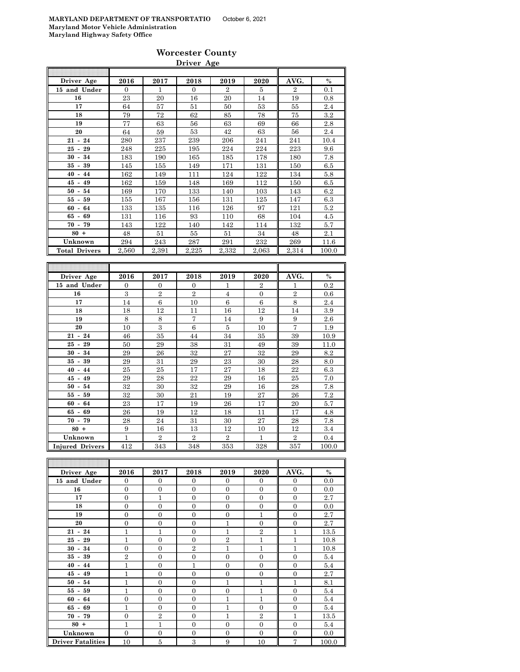|                      |          |       | Driver Age |                |       |                |               |
|----------------------|----------|-------|------------|----------------|-------|----------------|---------------|
|                      |          |       |            |                |       |                |               |
| Driver Age           | 2016     | 2017  | 2018       | 2019           | 2020  | AVG.           | $\frac{0}{0}$ |
| 15 and Under         | $\Omega$ | 1     | $\Omega$   | $\overline{2}$ | 5     | $\overline{2}$ | 0.1           |
| 16                   | 23       | 20    | 16         | 20             | 14    | 19             | 0.8           |
| 17                   | 64       | 57    | 51         | 50             | 53    | 55             | 2.4           |
| 18                   | 79       | 72    | 62         | 85             | 78    | 75             | $3.2\,$       |
| 19                   | 77       | 63    | 56         | 63             | 69    | 66             | 2.8           |
| 20                   | 64       | 59    | 53         | 42             | 63    | 56             | 2.4           |
| $21 - 24$            | 280      | 237   | 239        | 206            | 241   | 241            | 10.4          |
| $25 -$<br>29         | 248      | 225   | 195        | 224            | 224   | 223            | 9.6           |
| 34<br>$30 -$         | 183      | 190   | 165        | 185            | 178   | 180            | 7.8           |
| $35 - 39$            | 145      | 155   | 149        | 171            | 131   | 150            | 6.5           |
| $40 - 44$            | 162      | 149   | 111        | 124            | 122   | 134            | 5.8           |
| $45 -$<br>49         | 162      | 159   | 148        | 169            | 112   | 150            | 6.5           |
| $50 - 54$            | 169      | 170   | 133        | 140            | 103   | 143            | 6.2           |
| 59<br>55 -           | 155      | 167   | 156        | 131            | 125   | 147            | 6.3           |
| $60 - 64$            | 133      | 135   | 116        | 126            | 97    | 121            | 5.2           |
| 69<br>65 -           | 131      | 116   | 93         | 110            | 68    | 104            | 4.5           |
| 70 - 79              | 143      | 122   | 140        | 142            | 114   | 132            | 5.7           |
| $80 +$               | 48       | 51    | 55         | 51             | 34    | 48             | 2.1           |
| Unknown              | 294      | 243   | 287        | 291            | 232   | 269            | 11.6          |
| <b>Total Drivers</b> | 2,560    | 2,391 | 2,225      | 2,332          | 2,063 | 2,314          | 100.0         |

| Driver Age             | 2016         | 2017           | 2018           | 2019           | 2020           | AVG.           | $\frac{0}{0}$ |
|------------------------|--------------|----------------|----------------|----------------|----------------|----------------|---------------|
| 15 and Under           | $\mathbf{0}$ | $\theta$       | $\theta$       | 1              | $\overline{2}$ | 1              | 0.2           |
| 16                     | 3            | $\overline{2}$ | $\overline{2}$ | 4              | $\mathbf{0}$   | $\overline{2}$ | 0.6           |
| 17                     | 14           | 6              | 10             | 6              | 6              | 8              | 2.4           |
| 18                     | 18           | 12             | 11             | 16             | 12             | 14             | 3.9           |
| 19                     | 8            | 8              | 7              | 14             | 9              | 9              | 2.6           |
| 20                     | 10           | 3              | 6              | 5              | 10             | 7              | 1.9           |
| $21 - 24$              | 46           | 35             | 44             | 34             | 35             | 39             | 10.9          |
| $25 - 29$              | 50           | 29             | 38             | 31             | 49             | 39             | 11.0          |
| $30 - 34$              | 29           | 26             | 32             | 27             | 32             | 29             | 8.2           |
| $35 - 39$              | 29           | 31             | 29             | 23             | 30             | 28             | 8.0           |
| $40 - 44$              | 25           | 25             | 17             | 27             | 18             | 22             | 6.3           |
| $45 - 49$              | 29           | 28             | 22             | 29             | 16             | 25             | 7.0           |
| $50 -$<br>54           | 32           | 30             | 32             | 29             | 16             | 28             | 7.8           |
| $55 - 59$              | 32           | 30             | 21             | 19             | 27             | 26             | 7.2           |
| $60 - 64$              | 23           | 17             | 19             | 26             | 17             | 20             | 5.7           |
| $65 - 69$              | 26           | 19             | 12             | 18             | 11             | 17             | 4.8           |
| $70 - 79$              | 28           | 24             | 31             | 30             | 27             | 28             | 7.8           |
| $80 +$                 | 9            | 16             | 13             | 12             | 10             | 12             | 3.4           |
| Unknown                | $\mathbf{1}$ | $\overline{2}$ | $\overline{2}$ | $\overline{2}$ | $\mathbf{1}$   | $\overline{2}$ | 0.4           |
| <b>Injured Drivers</b> | 412          | 343            | 348            | 353            | 328            | 357            | 100.0         |

| Driver Age               | 2016           | 2017             | 2018           | 2019           | 2020           | AVG.           | $\%$  |
|--------------------------|----------------|------------------|----------------|----------------|----------------|----------------|-------|
| 15 and Under             | $\overline{0}$ | $\mathbf{0}$     | $\mathbf{0}$   | $\overline{0}$ | $\overline{0}$ | $\mathbf{0}$   | 0.0   |
| 16                       | $\overline{0}$ | $\overline{0}$   | $\Omega$       | $\overline{0}$ | $\overline{0}$ | $\mathbf{0}$   | 0.0   |
| 17                       | $\overline{0}$ | $\mathbf{1}$     | $\mathbf{0}$   | $\overline{0}$ | $\theta$       | $\mathbf{0}$   | 2.7   |
| 18                       | $\overline{0}$ | $\boldsymbol{0}$ | $\overline{0}$ | $\overline{0}$ | $\overline{0}$ | $\mathbf{0}$   | 0.0   |
| 19                       | $\overline{0}$ | $\overline{0}$   | $\overline{0}$ | $\overline{0}$ | $\mathbf{1}$   | $\overline{0}$ | 2.7   |
| 20                       | $\overline{0}$ | $\overline{0}$   | $\mathbf{0}$   | 1              | $\overline{0}$ | $\mathbf{0}$   | 2.7   |
| $21 - 24$                | 1              | $\overline{1}$   | $\mathbf{0}$   | $\overline{1}$ | $\overline{2}$ | 1              | 13.5  |
| $25 - 29$                | 1              | $\overline{0}$   | $\mathbf{0}$   | $\overline{2}$ | $\mathbf{1}$   | 1              | 10.8  |
| $30 - 34$                | $\overline{0}$ | $\overline{0}$   | $\overline{2}$ | 1              | $\mathbf{1}$   | 1              | 10.8  |
| $35 - 39$                | $\overline{2}$ | $\overline{0}$   | $\overline{0}$ | $\overline{0}$ | $\overline{0}$ | $\overline{0}$ | 5.4   |
| $40 - 44$                | $\mathbf{1}$   | $\overline{0}$   | $\mathbf{1}$   | $\overline{0}$ | $\overline{0}$ | $\overline{0}$ | 5.4   |
| $45 - 49$                | 1              | $\overline{0}$   | $\Omega$       | $\overline{0}$ | $\overline{0}$ | $\mathbf{0}$   | 2.7   |
| $50 - 54$                | 1              | $\overline{0}$   | $\overline{0}$ | $\mathbf{1}$   | $\mathbf{1}$   | 1              | 8.1   |
| $55 - 59$                | 1              | $\overline{0}$   | $\Omega$       | $\theta$       | $\mathbf{1}$   | $\mathbf{0}$   | 5.4   |
| $60 - 64$                | $\overline{0}$ | $\overline{0}$   | $\Omega$       | 1              | 1              | $\overline{0}$ | 5.4   |
| $65 - 69$                | 1              | $\overline{0}$   | $\overline{0}$ | $\mathbf{1}$   | $\overline{0}$ | $\mathbf{0}$   | 5.4   |
| $70 - 79$                | $\overline{0}$ | $\overline{2}$   | $\mathbf{0}$   | 1              | $\overline{2}$ | $\mathbf{1}$   | 13.5  |
| $80 +$                   | 1              | $\overline{1}$   | $\Omega$       | $\theta$       | $\overline{0}$ | $\overline{0}$ | 5.4   |
| Unknown                  | $\overline{0}$ | $\mathbf{0}$     | $\mathbf{0}$   | $\overline{0}$ | $\overline{0}$ | $\mathbf{0}$   | 0.0   |
| <b>Driver Fatalities</b> | 10             | 5                | 3              | 9              | 10             | $\overline{7}$ | 100.0 |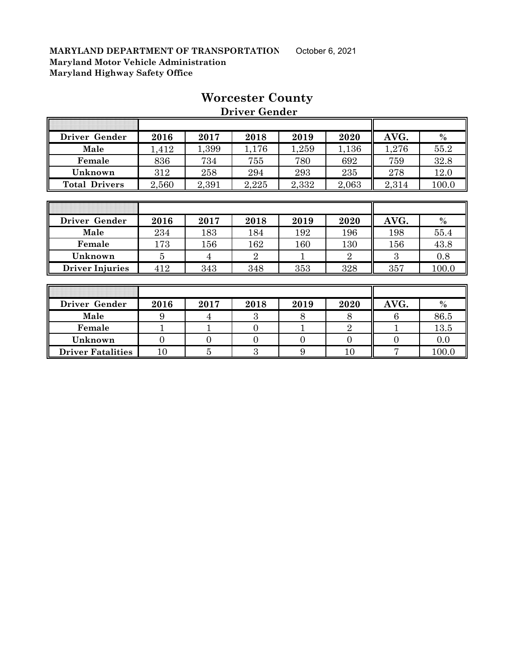| Driver Gender        | 2016  | 2017  | 2018  | 2019  | 2020  | AVG.  | $\%$  |
|----------------------|-------|-------|-------|-------|-------|-------|-------|
| Male                 | ,412  | 1,399 | 1,176 | ,259  | 1,136 | 1,276 | 55.2  |
| Female               | 836   | 734   | 755   | 780   | 692   | 759   | 32.8  |
| Unknown              | 312   | 258   | 294   | 293   | 235   | 278   | 12.0  |
| <b>Total Drivers</b> | 2,560 | 2,391 | 2,225 | 2,332 | 2,063 | 2,314 | 100.0 |
|                      |       |       |       |       |       |       |       |

# **Worcester County**

 **Driver Gender**

| Driver Gender          | 2016 | 2017 | 2018 | 2019 | 2020 | AVG. | $\frac{0}{0}$ |
|------------------------|------|------|------|------|------|------|---------------|
| Male                   | 234  | 183  | 184  | 192  | 196  | 198  | 55.4          |
| Female                 | 173  | 156  | 162  | 160  | 130  | 156  | 43.8          |
| Unknown                |      | 4    |      |      |      |      | 0.8           |
| <b>Driver Injuries</b> | 412  | 343  | 348  | 353  | 328  | 357  | 100.0         |

| Driver Gender            | 2016 | 2017 | 2018 | 2019 | 2020 | AVG. | $\frac{0}{0}$ |
|--------------------------|------|------|------|------|------|------|---------------|
| Male                     |      |      |      |      |      |      | 86.5          |
| Female                   |      |      |      |      |      |      | 13.5          |
| Unknown                  |      |      |      |      |      |      | 0.0           |
| <b>Driver Fatalities</b> | 10   |      |      |      | 10   |      | 100.0         |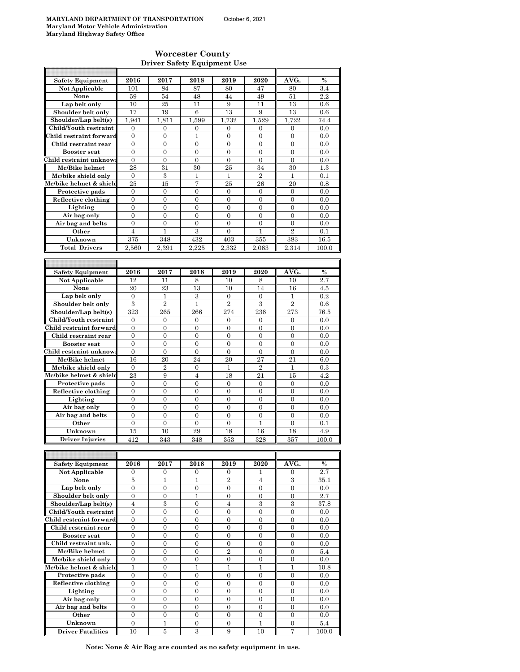#### **Worcester County Driver Safety Equipment Use**

| <b>Safety Equipment</b>                       | 2016                           | 2017                  | 2018                             | 2019                               | 2020                  | AVG.                             | $\frac{0}{0}$   |
|-----------------------------------------------|--------------------------------|-----------------------|----------------------------------|------------------------------------|-----------------------|----------------------------------|-----------------|
| <b>Not Applicable</b>                         | 101                            | 84                    | 87                               | 80                                 | 47                    | 80                               | 3.4             |
| None                                          | 59                             | 54                    | 48                               | 44                                 | 49                    | 51                               | 2.2             |
| Lap belt only                                 | 10                             | 25                    | 11                               | 9                                  | 11                    | 13                               | 0.6             |
| Shoulder belt only                            | 17                             | 19                    | 6                                | 13                                 | 9                     | 13                               | 0.6             |
| Shoulder/Lap belt(s)                          | 1,941                          | 1,811                 | 1,599                            | 1,732                              | 1,529                 | 1.722                            | 74.4            |
| Child/Youth restraint                         | $\boldsymbol{0}$               | $\boldsymbol{0}$      | $\boldsymbol{0}$                 | $\boldsymbol{0}$                   | $\mathbf{0}$          | 0                                | 0.0             |
| Child restraint forward                       | $\overline{0}$                 | $\mathbf{0}$          | 1                                | $\overline{0}$                     | $\overline{0}$        | $\overline{0}$                   | 0.0             |
| Child restraint rear                          | $\overline{0}$                 | $\overline{0}$        | $\mathbf{0}$                     | $\overline{0}$                     | $\overline{0}$        | $\overline{0}$                   | 0.0             |
| <b>Booster seat</b>                           | $\overline{0}$                 | $\overline{0}$        | $\overline{0}$                   | $\overline{0}$                     | $\overline{0}$        | $\overline{0}$                   | 0.0             |
| Child restraint unknow                        | $\boldsymbol{0}$               | $\boldsymbol{0}$      | $\boldsymbol{0}$                 | $\boldsymbol{0}$                   | $\boldsymbol{0}$      | $\boldsymbol{0}$                 | 0.0             |
| Mc/Bike helmet                                | 28                             | 31                    | 30                               | 25                                 | 34                    | 30                               | 1.3             |
| Mc/bike shield only                           | $\mathbf{0}$                   | 3                     | 1                                | $\mathbf{1}$                       | $\overline{2}$        | 1                                | 0.1             |
| Mc/bike helmet & shield                       | 25                             | 15                    | 7                                | 25                                 | 26                    | $^{20}$                          | 0.8             |
| Protective pads                               | $\mathbf{0}$                   | $\mathbf{0}$          | $\overline{0}$                   | $\overline{0}$                     | $\mathbf{0}$          | $\mathbf{0}$                     | 0.0             |
| Reflective clothing                           | $\boldsymbol{0}$               | $\mathbf{0}$          | $\overline{0}$                   | $\overline{0}$                     | $\boldsymbol{0}$      | $\boldsymbol{0}$                 | 0.0             |
| Lighting                                      | $\mathbf{0}$                   | $\mathbf{0}$          | $\overline{0}$                   | $\overline{0}$                     | $\overline{0}$        | $\overline{0}$                   | 0.0             |
| Air bag only                                  | $\mathbf{0}$                   | $\mathbf{0}$          | $\overline{0}$                   | $\overline{0}$                     | $\overline{0}$        | $\overline{0}$                   | 0.0             |
| Air bag and belts                             | $\mathbf{0}$<br>$\overline{4}$ | $\overline{0}$<br>1   | $\overline{0}$<br>$\overline{3}$ | $\overline{0}$<br>$\overline{0}$   | $\overline{0}$<br>1   | $\overline{0}$<br>$\overline{2}$ | 0.0<br>0.1      |
| Other<br>Unknown                              | 375                            |                       | 432                              |                                    |                       | 383                              |                 |
|                                               |                                | 348                   |                                  | 403                                | 355                   |                                  | 16.5            |
| <b>Total Drivers</b>                          | 2,560                          | 2,391                 | 2,225                            | 2,332                              | 2,063                 | 2,314                            | 100.0           |
|                                               |                                |                       |                                  |                                    |                       |                                  |                 |
| <b>Safety Equipment</b>                       | 2016                           | 2017                  | 2018                             | 2019                               | 2020                  | AVG.                             | $\%$            |
| Not Applicable                                | 12                             | 11                    | 8                                | 10                                 | 8                     | 10                               | 2.7             |
| None                                          | 20                             | 23                    | 13                               | 10                                 | 14                    | 16                               | 4.5             |
| Lap belt only                                 | $\boldsymbol{0}$               | 1                     | 3                                | 0                                  | $\mathbf{0}$          | 1                                | 0.2             |
| Shoulder belt only                            | 3                              | $\overline{2}$        | $\mathbf{1}$                     | $\overline{2}$                     | 3                     | $\overline{2}$                   | 0.6             |
| Shoulder/Lap belt(s)                          | 323                            | 265                   | 266                              | 274                                | 236                   | 273                              | 76.5            |
| Child/Youth restraint                         | $\overline{0}$                 | $\overline{0}$        | $\overline{0}$                   | $\overline{0}$                     | $\overline{0}$        | $\overline{0}$                   | 0.0             |
| Child restraint forward                       | $\boldsymbol{0}$               | $\boldsymbol{0}$      | $\boldsymbol{0}$                 | $\mathbf{0}$                       | $\boldsymbol{0}$      | 0                                | 0.0             |
| Child restraint rear                          | $\boldsymbol{0}$               | $\boldsymbol{0}$      | $\overline{0}$                   | $\overline{0}$                     | $\overline{0}$        | $\overline{0}$                   | 0.0             |
| <b>Booster</b> seat                           | $\mathbf{0}$                   | $\mathbf{0}$          | $\overline{0}$                   | $\overline{0}$                     | $\overline{0}$        | $\overline{0}$                   | 0.0             |
| Child restraint unknow:                       | $\boldsymbol{0}$               | $\boldsymbol{0}$      | $\overline{0}$                   | $\mathbf{0}$                       | $\mathbf{0}$          | $\mathbf{0}$                     | 0.0             |
| Mc/Bike helmet                                | 16                             | $^{20}$               | 24                               | 20                                 | 27                    | 21                               | 6.0             |
| Mc/bike shield only                           | $\boldsymbol{0}$               | $\overline{2}$        | 0                                | 1                                  | $\overline{2}$        | 1                                | 0.3             |
| Mc/bike helmet & shield                       | 23                             | 9                     | $\overline{4}$                   | 18                                 | 21                    | 15                               | 4.2             |
| Protective pads                               | $\mathbf{0}$                   | $\mathbf{0}$          | $\overline{0}$                   | $\overline{0}$                     | $\mathbf{0}$          | $\mathbf{0}$                     | 0.0             |
| Reflective clothing                           | $\mathbf{0}$                   | $\mathbf{0}$          | $\overline{0}$                   | $\overline{0}$                     | $\overline{0}$        | $\overline{0}$                   | 0.0             |
| Lighting                                      | $\boldsymbol{0}$               | $\boldsymbol{0}$      | $\mathbf{0}$                     | $\boldsymbol{0}$                   | $\boldsymbol{0}$      | $\boldsymbol{0}$                 | 0.0             |
| Air bag only                                  | $\boldsymbol{0}$               | 0                     | 0                                | $\boldsymbol{0}$                   | $\mathbf{0}$          | $\mathbf{0}$                     | 0.0             |
| Air bag and belts                             | $\overline{0}$                 | $\overline{0}$        | $\overline{0}$                   | $\overline{0}$                     | $\overline{0}$        | $\overline{0}$                   | 0.0             |
| Other                                         | $\boldsymbol{0}$               | $\mathbf{0}$          | $\mathbf{0}$                     | $\mathbf{0}$                       | 1                     | 0                                | 0.1             |
| Unknown                                       | 15                             | 10                    | 29                               | 18                                 | 16                    | 18                               | 4.9             |
| <b>Driver Injuries</b>                        | 412                            | 343                   | 348                              | 353                                | 328                   | 357                              | 100.0           |
|                                               |                                |                       |                                  |                                    |                       |                                  |                 |
|                                               |                                |                       |                                  |                                    |                       |                                  |                 |
| <b>Safety Equipment</b>                       | 2016                           | 2017                  | 2018                             | 2019                               | 2020                  | AVG.                             | $\%$            |
| Not Applicable                                | 0                              | 0                     | 0                                | 0                                  | 1                     | 0                                | 2.7             |
| None                                          | 5                              | 1                     | 1                                | $\boldsymbol{2}$                   | 4                     | 3                                | $35.1\,$        |
| Lap belt only                                 | $\boldsymbol{0}$               | $\boldsymbol{0}$      | 0                                | $\mathbf{0}$                       | $\boldsymbol{0}$      | $\boldsymbol{0}$                 | 0.0             |
| Shoulder belt only                            | $\boldsymbol{0}$               | $\boldsymbol{0}$<br>3 | $\mathbf 1$<br>0                 | $\boldsymbol{0}$<br>$\overline{4}$ | $\boldsymbol{0}$<br>3 | $\boldsymbol{0}$<br>3            | 2.7             |
| Shoulder/Lap belt(s)<br>Child/Youth restraint | 4<br>$\boldsymbol{0}$          | $\boldsymbol{0}$      | 0                                | $\boldsymbol{0}$                   | $\mathbf{0}$          | $\boldsymbol{0}$                 | 37.8<br>$0.0\,$ |
| Child restraint forward                       | $\boldsymbol{0}$               | $\boldsymbol{0}$      | 0                                | $\boldsymbol{0}$                   | $\boldsymbol{0}$      | $\boldsymbol{0}$                 | 0.0             |
| Child restraint rear                          | $\boldsymbol{0}$               | $\boldsymbol{0}$      | 0                                | $\boldsymbol{0}$                   | $\mathbf{0}$          | $\mathbf{0}$                     | 0.0             |
| <b>Booster seat</b>                           | $\boldsymbol{0}$               | $\boldsymbol{0}$      | 0                                | $\boldsymbol{0}$                   | $\boldsymbol{0}$      | $\boldsymbol{0}$                 | 0.0             |
| Child restraint unk.                          | $\mathbf{0}$                   | $\mathbf{0}$          | $\overline{0}$                   | $\mathbf{0}$                       | $\mathbf{0}$          | $\overline{0}$                   | 0.0             |
| Mc/Bike helmet                                | $\overline{0}$                 | $\mathbf{0}$          | $\overline{0}$                   | $\overline{2}$                     | $\overline{0}$        | $\overline{0}$                   | 5.4             |
| Mc/bike shield only                           | $\mathbf{0}$                   | 0                     | 0                                | $\boldsymbol{0}$                   | $\boldsymbol{0}$      | $\boldsymbol{0}$                 | 0.0             |
| Mc/bike helmet & shield                       | $\mathbf{1}$                   | $\boldsymbol{0}$      | $\mathbf 1$                      | $\mathbf{1}$                       | $\mathbf{1}$          | 1                                | 10.8            |
| Protective pads                               | 0                              | 0                     | 0                                | 0                                  | $\mathbf{0}$          | 0                                | 0.0             |
| Reflective clothing                           | $\overline{0}$                 | $\mathbf{0}$          | $\overline{0}$                   | $\overline{0}$                     | $\overline{0}$        | $\overline{0}$                   | 0.0             |
| Lighting                                      | $\boldsymbol{0}$               | 0                     | 0                                | 0                                  | $\mathbf{0}$          | $\mathbf{0}$                     | 0.0             |
| Air bag only                                  | $\mathbf{0}$                   | $\mathbf{0}$          | $\overline{0}$                   | $\overline{0}$                     | $\boldsymbol{0}$      | $\boldsymbol{0}$                 | 0.0             |
| Air bag and belts                             | $\boldsymbol{0}$               | 0                     | 0                                | $\boldsymbol{0}$                   | $\mathbf{0}$          | $\mathbf{0}$                     | 0.0             |
| Other                                         | $\boldsymbol{0}$               | $\mathbf{0}$          | $\overline{0}$                   | $\boldsymbol{0}$                   | $\mathbf{0}$          | $\overline{0}$                   | 0.0             |
| Unknown                                       | $\boldsymbol{0}$               | $\mathbf{1}$          | $\boldsymbol{0}$                 | $\overline{0}$                     | $\mathbf{1}$          | 0                                | 5.4             |
| <b>Driver Fatalities</b>                      | 10                             | 5                     | 3                                | 9                                  | 10                    | 7                                | 100.0           |

**Note: None & Air Bag are counted as no safety equipment in use.**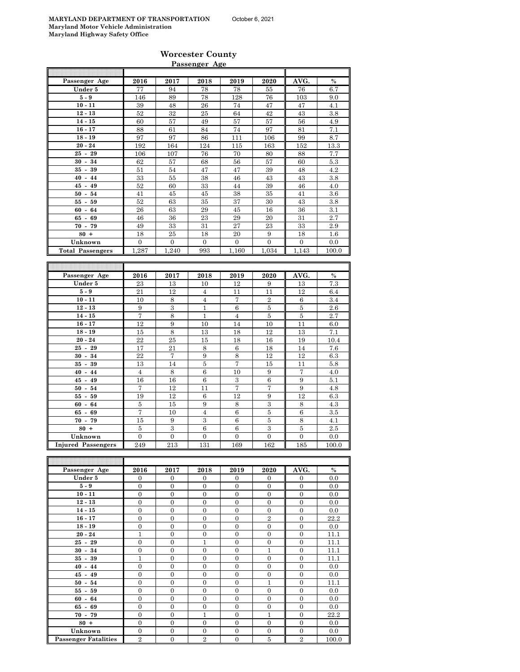#### **Worcester County Passenger Age**

| Passenger Age             | 2016             | 2017             | 2018             | 2019             | 2020             | AVG.             | %        |
|---------------------------|------------------|------------------|------------------|------------------|------------------|------------------|----------|
| Under 5                   | 77               | 94               | 78               | 78               | 55               | 76               | 6.7      |
| $5-9$                     | 146              | 89               | 78               | 128              | 76               | 103              | 9.0      |
| $10 - 11$                 | 39               | 48               | 26               | 74               | 47               | 47               | 4.1      |
| $12 - 13$                 |                  |                  |                  |                  |                  |                  |          |
|                           | 52               | 32               | 25               | 64               | 42               | 43               | 3.8      |
| $14 - 15$                 | 60               | 57               | 49               | 57               | 57               | 56               | 4.9      |
| $16 - 17$                 | 88               | 61               | 84               | 74               | 97               | 81               | 7.1      |
| $18 - 19$                 | 97               | 97               | 86               | 111              | 106              | 99               | 8.7      |
| $20 - 24$                 | 192              | 164              | 124              | 115              | 163              | 152              | 13.3     |
| $25 - 29$                 | 106              | 107              | 76               | 70               | 80               | 88               | 7.7      |
| $30 - 34$                 | 62               | 57               | 68               | 56               | 57               | 60               | 5.3      |
| $35 - 39$                 | 51               | 54               | 47               | 47               | 39               | 48               | 4.2      |
| $40 - 44$                 | 33               | 55               | 38               | 46               | 43               | 43               | $3.8\,$  |
| $45 - 49$                 | 52               | 60               | 33               | 44               | 39               | 46               | 4.0      |
| $50 - 54$                 | 41               | 45               | 45               | 38               | 35               | 41               | 3.6      |
| $55 - 59$                 | 52               | 63               | 35               | 37               | 30               | 43               | 3.8      |
|                           | 26               | 63               |                  | 45               | 16               |                  |          |
| $60 -$<br>64              |                  |                  | 29               |                  |                  | 36               | 3.1      |
| $65 - 69$                 | 46               | 36               | 23               | 29               | 20               | 31               | 2.7      |
| $70 - 79$                 | 49               | 33               | 31               | 27               | 23               | 33               | 2.9      |
| $80 +$                    | 18               | 25               | 18               | 20               | 9                | 18               | $1.6\,$  |
| Unknown                   | $\overline{0}$   | $\boldsymbol{0}$ | $\boldsymbol{0}$ | $\boldsymbol{0}$ | $\overline{0}$   | $\boldsymbol{0}$ | 0.0      |
| <b>Total Passengers</b>   | 1,287            | 1,240            | 993              | 1,160            | 1,034            | 1,143            | 100.0    |
|                           |                  |                  |                  |                  |                  |                  |          |
|                           |                  |                  |                  |                  |                  |                  |          |
| Passenger Age             | 2016             | 2017             | 2018             | 2019             | 2020             | AVG.             | %        |
| Under 5                   | 23               | 13               | 10               | 12               | 9                | 13               | 7.3      |
|                           |                  |                  |                  |                  |                  |                  |          |
| $5-9$                     | 21               | 12               | $\overline{4}$   | 11               | 11               | 12               | 6.4      |
| $10 - 11$                 | 10               | 8                | 4                | 7                | $\overline{2}$   | 6                | 3.4      |
| $12 - 13$                 | 9                | 3                | $\mathbf{1}$     | 6                | 5                | 5                | $2.6\,$  |
| $14 - 15$                 | 7                | $\,$ 8 $\,$      | $\mathbf{1}$     | $\overline{4}$   | $\bf 5$          | $\bf 5$          | 2.7      |
| $16 - 17$                 | 12               | 9                | 10               | 14               | 10               | 11               | 6.0      |
| $18 - 19$                 | 15               | $\,$ 8 $\,$      | 13               | 18               | 12               | 13               | 7.1      |
| $20 - 24$                 | 22               | 25               | 15               | 18               | 16               | 19               | 10.4     |
| $25 -$<br>29              | 17               | 21               | 8                | $\,6$            | 18               | 14               | 7.6      |
| $30 - 34$                 | 22               | 7                | 9                | 8                | 12               | 12               | 6.3      |
| $35 - 39$                 | 13               | 14               | $\bf 5$          | 7                | 15               | 11               | $5.8\,$  |
| $40 - 44$                 | $\overline{4}$   | 8                | 6                | 10               | 9                | 7                | 4.0      |
| $45 - 49$                 | 16               | 16               | 6                | 3                | 6                | 9                | 5.1      |
|                           |                  |                  |                  |                  |                  |                  |          |
| $50 - 54$                 | 7                | 12               | 11               | 7                | 7                | 9                | 4.8      |
| $55-$<br>59               | 19               | 12               | 6                | 12               | 9                | 12               | 6.3      |
| $60 - 64$                 | $\bf 5$          | 15               | 9                | 8                | $\,3\,$          | $\,$ 8 $\,$      | 4.3      |
| $65 - 69$                 | 7                | 10               | $\overline{4}$   | 6                | 5                | 6                | $3.5\,$  |
| $70 - 79$                 | 15               | 9                | $\,3$            | $\boldsymbol{6}$ | $\overline{5}$   | $\,8\,$          | 4.1      |
| $80 +$                    | 5                | $\,3$            | 6                | 6                | $\,3$            | $\bf 5$          | 2.5      |
| Unknown                   | $\overline{0}$   | $\overline{0}$   | $\overline{0}$   | $\overline{0}$   | $\overline{0}$   | $\mathbf{0}$     | $_{0.0}$ |
| <b>Injured Passengers</b> | 249              | 213              | 131              | 169              | 162              | 185              | 100.0    |
|                           |                  |                  |                  |                  |                  |                  |          |
|                           |                  |                  |                  |                  |                  |                  |          |
| Passenger Age             | 2016             | 2017             | 2018             | 2019             | 2020             | AVG.             | $\%$     |
|                           |                  |                  |                  |                  |                  |                  |          |
| Under 5                   | 0                | 0                | 0                | 0                | $\overline{0}$   | 0                | 0.0      |
| $5-9$                     | $\boldsymbol{0}$ | $\boldsymbol{0}$ | $\boldsymbol{0}$ | $\boldsymbol{0}$ | 0                | $\boldsymbol{0}$ | 0.0      |
| $10 - 11$                 | $\boldsymbol{0}$ | $\boldsymbol{0}$ | $\boldsymbol{0}$ | $\boldsymbol{0}$ | $\boldsymbol{0}$ | $\boldsymbol{0}$ | 0.0      |
| $12 - 13$                 | $\boldsymbol{0}$ | $\boldsymbol{0}$ | $\boldsymbol{0}$ | $\boldsymbol{0}$ | $\boldsymbol{0}$ | $\boldsymbol{0}$ | 0.0      |
| $14 - 15$                 | $\boldsymbol{0}$ | $\boldsymbol{0}$ | $\boldsymbol{0}$ | 0                | $\boldsymbol{0}$ | $\boldsymbol{0}$ | 0.0      |
| $16 - 17$                 | $\overline{0}$   | $\overline{0}$   | $\overline{0}$   | $\overline{0}$   | $\overline{2}$   | $\boldsymbol{0}$ | 22.2     |
| $18 - 19$                 | $\boldsymbol{0}$ | $\boldsymbol{0}$ | $\boldsymbol{0}$ | $\boldsymbol{0}$ | $\boldsymbol{0}$ | $\boldsymbol{0}$ | 0.0      |
| $20 - 24$                 | $\mathbf{1}$     | $\boldsymbol{0}$ | $\boldsymbol{0}$ | $\boldsymbol{0}$ | $\boldsymbol{0}$ | $\boldsymbol{0}$ | 11.1     |
| $25 - 29$                 | $\boldsymbol{0}$ | $\boldsymbol{0}$ | $\mathbf 1$      | $\mathbf{0}$     | $\boldsymbol{0}$ | $\boldsymbol{0}$ | 11.1     |
| $30 - 34$                 | $\boldsymbol{0}$ | 0                | 0                | $\boldsymbol{0}$ | 1                | $\boldsymbol{0}$ | 11.1     |
| $35 - 39$                 | $\mathbf{1}$     | $\overline{0}$   | $\overline{0}$   | $\boldsymbol{0}$ | $\boldsymbol{0}$ | $\boldsymbol{0}$ | 11.1     |
|                           |                  |                  |                  |                  |                  |                  |          |
| $40 - 44$                 | $\overline{0}$   | $\boldsymbol{0}$ | $\boldsymbol{0}$ | $\boldsymbol{0}$ | $\boldsymbol{0}$ | $\boldsymbol{0}$ | 0.0      |
| $45 - 49$                 | $\boldsymbol{0}$ | $\boldsymbol{0}$ | $\boldsymbol{0}$ | 0                | $\boldsymbol{0}$ | $\boldsymbol{0}$ | 0.0      |
| $50 - 54$                 | $\boldsymbol{0}$ | $\boldsymbol{0}$ | $\boldsymbol{0}$ | $\boldsymbol{0}$ | $\mathbf{1}$     | $\boldsymbol{0}$ | 11.1     |
| $55 - 59$                 |                  |                  |                  |                  |                  |                  |          |
|                           | $\boldsymbol{0}$ | $\boldsymbol{0}$ | $\boldsymbol{0}$ | $\boldsymbol{0}$ | $\boldsymbol{0}$ | $\boldsymbol{0}$ | 0.0      |
| $60 - 64$                 | $\boldsymbol{0}$ | $\boldsymbol{0}$ | $\boldsymbol{0}$ | $\boldsymbol{0}$ | 0                | $\boldsymbol{0}$ | 0.0      |

**70 - 79** 0 0 0 1 0 1 0 22.2 **80 +** 0 0 0 0 0 0 0.0 **Unknown** 0 0 0 0 0 0 0.0

**Passenger Fatalities**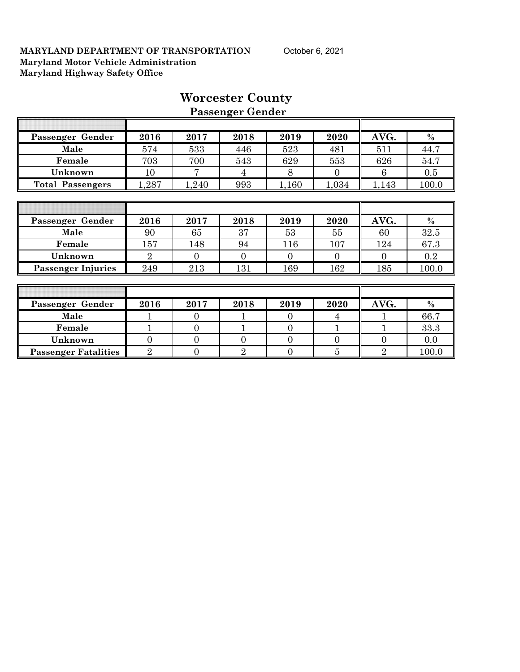| Passenger Gender            | 2016           | 2017           | 2018           | 2019     | 2020           | AVG.           | $\%$  |
|-----------------------------|----------------|----------------|----------------|----------|----------------|----------------|-------|
| Male                        | 574            | 533            | 446            | 523      | 481            | 511            | 44.7  |
| Female                      | 703            | 700            | 543            | 629      | 553            | 626            | 54.7  |
| Unknown                     | 10             |                | 4              | 8        | $\Omega$       | 6              | 0.5   |
| <b>Total Passengers</b>     | 1,287          | 1,240          | 993            | 1,160    | 1,034          | 1,143          | 100.0 |
|                             |                |                |                |          |                |                |       |
|                             |                |                |                |          |                |                |       |
| Passenger Gender            | 2016           | 2017           | 2018           | 2019     | 2020           | AVG.           | $\%$  |
| Male                        | 90             | 65             | 37             | 53       | 55             | 60             | 32.5  |
| Female                      | 157            | 148            | 94             | 116      | 107            | 124            | 67.3  |
| Unknown                     | $\overline{2}$ | $\Omega$       | $\Omega$       | $\theta$ | $\Omega$       | $\overline{0}$ | 0.2   |
| <b>Passenger Injuries</b>   | 249            | 213            | 131            | 169      | 162            | 185            | 100.0 |
|                             |                |                |                |          |                |                |       |
|                             |                |                |                |          |                |                |       |
| Passenger Gender            | 2016           | 2017           | 2018           | 2019     | 2020           | AVG.           | $\%$  |
| Male                        |                | $\Omega$       |                | $\Omega$ | 4              |                | 66.7  |
| Female                      |                | $\Omega$       |                | $\Omega$ |                |                | 33.3  |
| Unknown                     | $\Omega$       | $\Omega$       | $\Omega$       | $\Omega$ | $\Omega$       | $\theta$       | 0.0   |
| <b>Passenger Fatalities</b> | $\overline{2}$ | $\overline{0}$ | $\overline{2}$ | $\theta$ | $\overline{5}$ | $\overline{2}$ | 100.0 |

# **Worcester County Passenger Gender**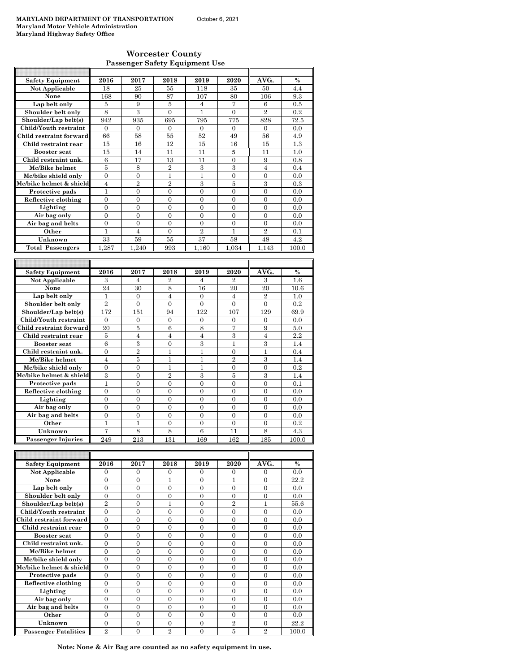#### **Worcester County Passenger Safety Equipment Use**

| <b>Safety Equipment</b> | 2016           | 2017           | 2018           | 2019           | 2020           | AVG.           | $\frac{0}{0}$  |
|-------------------------|----------------|----------------|----------------|----------------|----------------|----------------|----------------|
| Not Applicable          | 18             | 25             | 55             | 118            | 35             | 50             | 4.4            |
| None                    | 168            | 90             | 87             | 107            | 80             | 106            | 9.3            |
| Lap belt only           | 5              | 9              | 5              | 4              | 7              | 6              | 0.5            |
| Shoulder belt only      | 8              | 3              | $\overline{0}$ | $\mathbf{1}$   | $\overline{0}$ | $\overline{2}$ | 0.2            |
| Shoulder/Lap belt(s)    | 942            | 935            | 695            | 795            | 775            | 828            | 72.5           |
| Child/Youth restraint   | $\mathbf{0}$   | $\mathbf{0}$   | $\overline{0}$ | $\mathbf{0}$   | $\Omega$       | $\Omega$       | 0.0            |
| Child restraint forward | 66             | 58             | 55             | 52             | 49             | 56             | 4.9            |
| Child restraint rear    | 15             | 16             | 12             | 15             | 16             | 15             | 1.3            |
| <b>Booster seat</b>     | 15             | 14             | 11             | 11             | 5              | 11             | 1.0            |
| Child restraint unk.    | 6              | 17             | 13             | 11             | $\overline{0}$ | 9              | 0.8            |
| Mc/Bike helmet          | $\overline{5}$ | 8              | $\overline{2}$ | 3              | 3              | $\overline{4}$ | 0.4            |
| Mc/bike shield only     | $\theta$       | $\overline{0}$ | $\mathbf{1}$   | $\mathbf{1}$   | $\overline{0}$ | $\overline{0}$ | 0.0            |
| Mc/bike helmet & shield | $\overline{4}$ | $\overline{2}$ | $\overline{2}$ | 3              | $\overline{5}$ | 3              | 0.3            |
| Protective pads         | $\mathbf{1}$   | $\Omega$       | $\Omega$       | $\Omega$       | $\Omega$       | $\theta$       | 0.0            |
| Reflective clothing     | $\overline{0}$ | $\overline{0}$ | $\overline{0}$ | $\overline{0}$ | $\mathbf{0}$   | $\mathbf{0}$   | 0.0            |
| Lighting                | $\overline{0}$ | $\mathbf{0}$   | $\mathbf{0}$   | $\mathbf{0}$   | $\mathbf{0}$   | $\overline{0}$ | 0.0            |
| Air bag only            | $\theta$       | $\Omega$       | $\Omega$       | $\theta$       | $\theta$       | $\theta$       | 0.0            |
| Air bag and belts       | $\theta$       | $\theta$       | $\theta$       | $\theta$       | $\theta$       | $\theta$       | 0.0            |
| Other                   | $\mathbf{1}$   | $\overline{4}$ | $\theta$       | $\overline{2}$ | 1              | $\overline{2}$ | 0.1            |
| Unknown                 | 33             | 59             | 55             | 37             | 58             | 48             | 4.2            |
| <b>Total Passengers</b> | 1.287          | 1.240          | 993            | 1.160          | 1.034          | 1.143          | 100.0          |
|                         |                |                |                |                |                |                |                |
|                         |                |                |                |                |                |                |                |
| <b>Safety Equipment</b> | 2016           | 2017           | 2018           | 2019           | 2020           | AVG.           | $\frac{0}{0}$  |
| Not Applicable          | 3              | 4              | $\overline{2}$ | $\overline{4}$ | $\overline{2}$ | 3              | 1.6            |
| None                    | 24             | 30             | 8              | 16             | 20             | 20             | 10.6           |
| Lap belt only           | 1              | $\Omega$       | $\overline{4}$ | $\Omega$       | $\overline{4}$ | $\overline{2}$ | 1.0            |
| Shoulder belt only      | $\overline{2}$ | $\overline{0}$ | $\mathbf{0}$   | $\mathbf{0}$   | $\mathbf{0}$   | $\overline{0}$ | 0.2            |
| Shoulder/Lap belt(s)    | 172            | 151            | 94             | 122            | 107            | 129            | 69.9           |
| Child/Youth restraint   | $\Omega$       | $\overline{0}$ | $\Omega$       | $\Omega$       | $\Omega$       | $\theta$       | 0.0            |
| Child restraint forward | 20             | $\overline{5}$ | 6              | 8              | 7              | 9              | 5.0            |
| Child restraint rear    | 5              | $\overline{4}$ | $\overline{4}$ | $\overline{4}$ | 3              | $\overline{4}$ | 2.2            |
| <b>Booster seat</b>     | 6              | 3              | $\overline{0}$ | 3              | 1              | 3              | 1.4            |
| Child restraint unk.    | $\theta$       | $\overline{2}$ | 1              | 1              | $\Omega$       | $\mathbf{1}$   | 0.4            |
| Mc/Bike helmet          | $\overline{4}$ | $\overline{5}$ | 1              | 1              | $\overline{2}$ | 3              | 1.4            |
| Mc/bike shield only     | $\Omega$       | $\overline{0}$ | $\overline{1}$ | $\mathbf{1}$   | $\mathbf{0}$   | $\overline{0}$ | 0.2            |
| Mc/bike helmet & shield | 3              | $\overline{0}$ | $\overline{2}$ | 3              | $\overline{5}$ | 3              | 1.4            |
| Protective pads         | 1              | $\Omega$       | $\overline{0}$ | $\mathbf{0}$   | $\Omega$       | $\theta$       | 0.1            |
| Reflective clothing     | $\overline{0}$ | $\overline{0}$ | $\overline{0}$ | $\overline{0}$ | $\overline{0}$ | $\overline{0}$ | 0.0            |
| Lighting                | $\Omega$       | $\Omega$       | $\Omega$       | $\Omega$       | $\Omega$       | $\Omega$       | 0 <sub>0</sub> |

**Lighting** 0 0 0 0 0 0 0.0 **Air bag only** 0 0 0 0 0 0 0.0 Air bag and belts **Other** 1 1 1 0 0 0 0 0 0.2 **Unknown** 7 8 8 6 11 8 4.3<br> **Example 18 8 6 11** 8 4.3<br> **Example 18 8 6 11** 8 4.3<br> **Example 18 8 6 11** 8 4.3 **Passenger Injuries** T  $\overline{\mathsf{T}}$ 

| <b>Safety Equipment</b>     | 2016              | 2017     | 2018           | 2019           | 2020           | AVG.           | $\frac{0}{0}$ |
|-----------------------------|-------------------|----------|----------------|----------------|----------------|----------------|---------------|
| Not Applicable              | $\Omega$          | $\Omega$ | $\Omega$       | $\Omega$       | $\Omega$       | $\Omega$       | 0.0           |
| None                        | 0                 | 0        |                | 0              |                | 0              | 22.2          |
| Lap belt only               | $\Omega$          | $\Omega$ | $\Omega$       | $\Omega$       | $\Omega$       | $\Omega$       | 0.0           |
| Shoulder belt only          | $\Omega$          | $\Omega$ | $\Omega$       | $\Omega$       | $\Omega$       | $\Omega$       | 0.0           |
| Shoulder/Lap belt(s)        | $\mathcal{D}_{1}$ | 0        |                | 0              | $\mathfrak{D}$ |                | 55.6          |
| Child/Youth restraint       | $\Omega$          | $\Omega$ | $\Omega$       | $\Omega$       | $\Omega$       | $\Omega$       | 0.0           |
| Child restraint forward     | $\theta$          | $\Omega$ | $\Omega$       | $\Omega$       | $\Omega$       | $\Omega$       | 0.0           |
| Child restraint rear        | 0                 | 0        | 0              | 0              | 0              | 0              | 0.0           |
| <b>Booster</b> seat         | $\Omega$          | $\Omega$ | $\Omega$       | $\Omega$       | $\Omega$       | $\Omega$       | 0.0           |
| Child restraint unk.        | $\Omega$          | $\Omega$ | $\Omega$       | $\Omega$       | $\Omega$       | $\Omega$       | 0.0           |
| Mc/Bike helmet              | $\theta$          | $\theta$ | 0              | $\overline{0}$ | $\overline{0}$ | $\theta$       | 0.0           |
| Mc/bike shield only         | $\Omega$          | $\Omega$ | $\Omega$       | $\Omega$       | $\Omega$       | $\Omega$       | 0.0           |
| Mc/bike helmet & shield     | $\theta$          | $\Omega$ | $\Omega$       | $\Omega$       | $\Omega$       | $\Omega$       | 0.0           |
| Protective pads             | $\Omega$          | 0        | $\Omega$       | 0              | 0              | 0              | 0.0           |
| Reflective clothing         | $\Omega$          | $\Omega$ | $\Omega$       | $\Omega$       | $\Omega$       | $\Omega$       | 0.0           |
| Lighting                    | $\Omega$          | $\Omega$ | $\Omega$       | $\theta$       | $\Omega$       | $\theta$       | 0.0           |
| Air bag only                | 0                 | 0        | $\Omega$       | 0              | 0              | 0              | 0.0           |
| Air bag and belts           | $\Omega$          | $\Omega$ | $\Omega$       | $\Omega$       | $\Omega$       | $\Omega$       | 0.0           |
| Other                       | $\Omega$          | $\Omega$ | $\Omega$       | $\Omega$       | $\Omega$       | $\Omega$       | 0.0           |
| Unknown                     | $\Omega$          | $\Omega$ | $\Omega$       | $\Omega$       | $\overline{2}$ | $\Omega$       | 22.2          |
| <b>Passenger Fatalities</b> | $\overline{2}$    | 0        | $\overline{2}$ | 0              | 5              | $\overline{2}$ | 100.0         |

**Note: None & Air Bag are counted as no safety equipment in use.**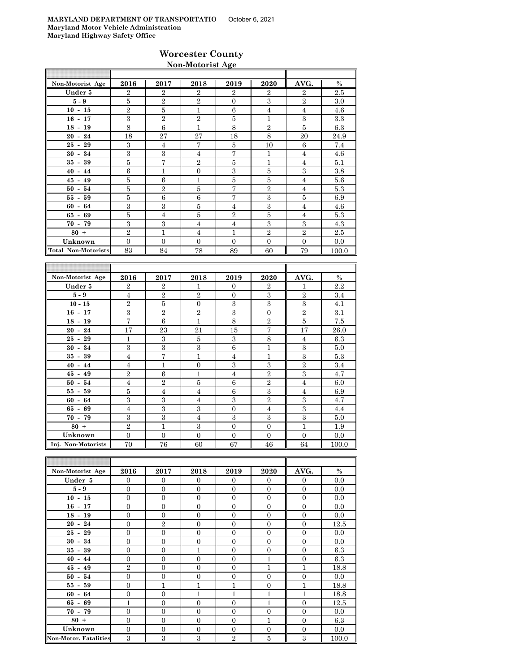### **Worcester County Non-Motorist Age**

| Non-Motorist Age           | 2016           | 2017           | 2018           | 2019           | 2020           | AVG.           | $\%$  |
|----------------------------|----------------|----------------|----------------|----------------|----------------|----------------|-------|
| Under 5                    | $\mathbf{2}$   | $\overline{2}$ | $\overline{2}$ | $\overline{2}$ | $\overline{2}$ | $\overline{2}$ | 2.5   |
| $5-9$                      | 5              | $\overline{2}$ | $\overline{2}$ | $\mathbf{0}$   | 3              | $\overline{2}$ | 3.0   |
| $10 - 15$                  | $\overline{2}$ | 5              | 1              | 6              | $\overline{4}$ | $\overline{4}$ | 4.6   |
| $16 - 17$                  | 3              | $\overline{2}$ | $\overline{2}$ | 5              | 1              | 3              | 3.3   |
| $18 - 19$                  | 8              | 6              | 1              | 8              | $\overline{2}$ | 5              | 6.3   |
| $20 - 24$                  | 18             | 27             | 27             | 18             | 8              | 20             | 24.9  |
| $25 - 29$                  | 3              | $\overline{4}$ | 7              | 5              | 10             | 6              | 7.4   |
| $30 - 34$                  | 3              | 3              | $\overline{4}$ | 7              | 1              | $\overline{4}$ | 4.6   |
| $35 - 39$                  | 5              | 7              | $\overline{2}$ | 5              | $\mathbf{1}$   | $\overline{4}$ | 5.1   |
| $40 - 44$                  | 6              | $\mathbf{1}$   | $\overline{0}$ | 3              | 5              | 3              | 3.8   |
| $45 - 49$                  | 5              | 6              | 1              | 5              | 5              | $\overline{4}$ | 5.6   |
| $50 - 54$                  | 5              | $\overline{2}$ | $\overline{5}$ | 7              | $\overline{2}$ | $\overline{4}$ | 5.3   |
| $55 - 59$                  | 5              | 6              | 6              | 7              | 3              | 5              | 6.9   |
| $60 - 64$                  | 3              | 3              | 5              | $\overline{4}$ | 3              | $\overline{4}$ | 4.6   |
| $65 - 69$                  | 5              | $\overline{4}$ | 5              | $\mathbf{2}$   | 5              | $\overline{4}$ | 5.3   |
| $70 - 79$                  | 3              | 3              | $\overline{4}$ | $\overline{4}$ | 3              | 3              | 4.3   |
| $80 +$                     | $\mathbf{2}$   | 1              | $\overline{4}$ | 1              | $\overline{2}$ | $\overline{2}$ | 2.5   |
| Unknown                    | $\Omega$       | $\theta$       | $\Omega$       | $\Omega$       | $\Omega$       | $\Omega$       | 0.0   |
| <b>Total Non-Motorists</b> | 83             | 84             | 78             | 89             | 60             | 79             | 100.0 |

| Non-Motorist Age   | 2016           | 2017           | 2018           | 2019           | 2020           | AVG.           | $\%$    |
|--------------------|----------------|----------------|----------------|----------------|----------------|----------------|---------|
| Under 5            | $\overline{2}$ | $\overline{2}$ | $\mathbf{1}$   | $\Omega$       | $\overline{2}$ | 1              | $2.2\,$ |
| $5 - 9$            | $\overline{4}$ | $\overline{2}$ | $\overline{2}$ | $\Omega$       | 3              | $\overline{2}$ | 3.4     |
| $10 - 15$          | $\overline{2}$ | 5              | $\Omega$       | 3              | 3              | 3              | 4.1     |
| $16 - 17$          | 3              | $\overline{2}$ | $\overline{2}$ | 3              | $\overline{0}$ | $\overline{2}$ | 3.1     |
| $18 - 19$          | $\overline{7}$ | 6              | 1              | 8              | $\overline{2}$ | 5              | 7.5     |
| $20 - 24$          | 17             | 23             | 21             | 15             | $\overline{7}$ | 17             | 26.0    |
| $25 -$<br>29       | 1              | 3              | 5              | 3              | 8              | $\overline{4}$ | 6.3     |
| 34<br>$30 -$       | 3              | 3              | 3              | 6              | 1              | 3              | 5.0     |
| $35 -$<br>39       | $\overline{4}$ | 7              | 1              | $\overline{4}$ | 1              | 3              | 5.3     |
| $40 - 44$          | 4              | $\mathbf{1}$   | $\overline{0}$ | 3              | 3              | $\overline{2}$ | 3.4     |
| $45 - 49$          | $\overline{2}$ | 6              | $\mathbf{1}$   | $\overline{4}$ | $\overline{2}$ | 3              | 4.7     |
| $50 - 54$          | $\overline{4}$ | $\overline{2}$ | 5              | 6              | $\overline{2}$ | $\overline{4}$ | 6.0     |
| $55 - 59$          | 5              | $\overline{4}$ | $\overline{4}$ | 6              | 3              | $\overline{4}$ | 6.9     |
| $60 - 64$          | 3              | 3              | $\overline{4}$ | 3              | $\overline{2}$ | 3              | 4.7     |
| $65 - 69$          | $\overline{4}$ | 3              | 3              | $\Omega$       | $\overline{4}$ | 3              | 4.4     |
| $70 - 79$          | 3              | 3              | $\overline{4}$ | 3              | 3              | 3              | 5.0     |
| $80 +$             | $\overline{2}$ | $\mathbf{1}$   | 3              | $\Omega$       | $\Omega$       | 1              | 1.9     |
| Unknown            | $\Omega$       | $\overline{0}$ | $\overline{0}$ | $\mathbf{0}$   | $\theta$       | $\Omega$       | 0.0     |
| Inj. Non-Motorists | 70             | 76             | 60             | 67             | 46             | 64             | 100.0   |

| Non-Motorist Age             | 2016           | 2017           | 2018           | 2019           | 2020             | AVG.           | $\%$  |
|------------------------------|----------------|----------------|----------------|----------------|------------------|----------------|-------|
| Under 5                      | $\Omega$       | $\Omega$       | $\Omega$       | $\Omega$       | $\overline{0}$   | $\mathbf{0}$   | 0.0   |
| $5 - 9$                      | $\overline{0}$ | $\overline{0}$ | $\mathbf{0}$   | $\overline{0}$ | $\mathbf{0}$     | $\mathbf{0}$   | 0.0   |
| $10 - 15$                    | $\overline{0}$ | $\mathbf{0}$   | $\overline{0}$ | $\overline{0}$ | $\mathbf{0}$     | $\mathbf{0}$   | 0.0   |
| $16 - 17$                    | $\overline{0}$ | $\mathbf{0}$   | $\overline{0}$ | $\overline{0}$ | $\mathbf{0}$     | $\mathbf{0}$   | 0.0   |
| $18 - 19$                    | $\overline{0}$ | $\overline{0}$ | $\Omega$       | $\Omega$       | $\overline{0}$   | $\mathbf{0}$   | 0.0   |
| $20 - 24$                    | $\Omega$       | $\overline{2}$ | $\Omega$       | $\Omega$       | $\mathbf{0}$     | $\Omega$       | 12.5  |
| $25 - 29$                    | $\overline{0}$ | $\mathbf{0}$   | $\overline{0}$ | $\overline{0}$ | $\mathbf{0}$     | $\mathbf{0}$   | 0.0   |
| $30 - 34$                    | $\overline{0}$ | $\overline{0}$ | $\overline{0}$ | $\overline{0}$ | $\mathbf{0}$     | $\mathbf{0}$   | 0.0   |
| $35 - 39$                    | $\overline{0}$ | $\mathbf{0}$   | 1              | $\overline{0}$ | $\mathbf{0}$     | $\mathbf{0}$   | 6.3   |
| $40 - 44$                    | $\overline{0}$ | $\overline{0}$ | $\overline{0}$ | $\overline{0}$ | $\mathbf{1}$     | $\mathbf{0}$   | 6.3   |
| $45 - 49$                    | $\overline{2}$ | $\Omega$       | $\Omega$       | $\Omega$       | 1                | 1              | 18.8  |
| $50 - 54$                    | $\overline{0}$ | $\overline{0}$ | $\overline{0}$ | $\overline{0}$ | $\mathbf{0}$     | $\overline{0}$ | 0.0   |
| $55 - 59$                    | $\overline{0}$ | $\mathbf{1}$   | 1              | $\overline{1}$ | $\boldsymbol{0}$ | $\mathbf{1}$   | 18.8  |
| $60 - 64$                    | $\overline{0}$ | $\mathbf{0}$   | 1              | $\overline{1}$ | $\mathbf{1}$     | $\mathbf{1}$   | 18.8  |
| $65 - 69$                    | $\mathbf{1}$   | $\overline{0}$ | $\overline{0}$ | $\overline{0}$ | $\mathbf{1}$     | $\mathbf{0}$   | 12.5  |
| $70 - 79$                    | $\theta$       | $\mathbf{0}$   | $\Omega$       | $\Omega$       | $\mathbf{0}$     | $\Omega$       | 0.0   |
| $80 +$                       | $\overline{0}$ | $\overline{0}$ | $\Omega$       | $\Omega$       | $\mathbf{1}$     | $\Omega$       | 6.3   |
| Unknown                      | $\overline{0}$ | $\overline{0}$ | $\overline{0}$ | $\overline{0}$ | $\mathbf{0}$     | $\overline{0}$ | 0.0   |
| <b>Non-Motor. Fatalities</b> | 3              | 3              | 3              | $\overline{2}$ | $\bf 5$          | 3              | 100.0 |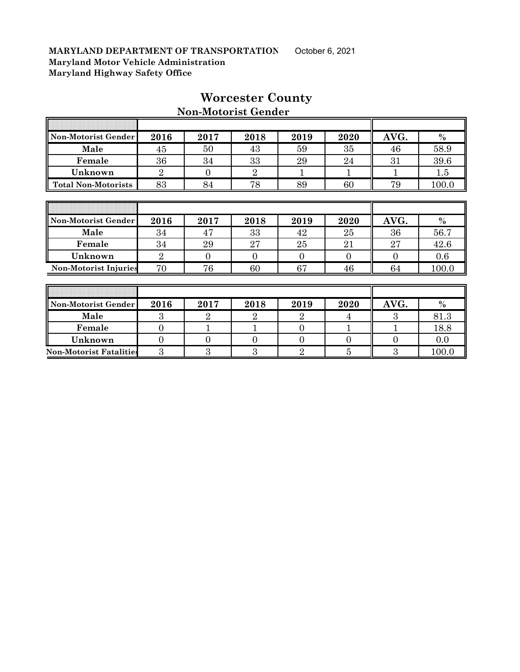$\overline{r}$ 

| Non-Motorist Gender          | 2016           | 2017     | 2018           | 2019 | 2020     | AVG.     | $\%$    |
|------------------------------|----------------|----------|----------------|------|----------|----------|---------|
| Male                         | 45             | 50       | 43             | 59   | 35       | 46       | 58.9    |
| Female                       | 36             | 34       | 33             | 29   | 24       | 31       | 39.6    |
| Unknown                      | $\overline{2}$ | $\Omega$ | $\overline{2}$ |      |          |          | $1.5\,$ |
| <b>Total Non-Motorists</b>   | 83             | 84       | 78             | 89   | 60       | 79       | 100.0   |
|                              |                |          |                |      |          |          |         |
|                              |                |          |                |      |          |          |         |
|                              |                |          |                |      |          |          |         |
| Non-Motorist Gender          | 2016           | 2017     | 2018           | 2019 | 2020     | AVG.     | $\%$    |
| Male                         | 34             | 47       | 33             | 42   | 25       | 36       | 56.7    |
| Female                       | 34             | 29       | 27             | 25   | 21       | 27       | 42.6    |
| Unknown                      | $\overline{2}$ | $\Omega$ | $\Omega$       | 0    | $\Omega$ | $\Omega$ | 0.6     |
| <b>Non-Motorist Injuries</b> | 70             | 76       | 60             | 67   | 46       | 64       | 100.0   |
|                              |                |          |                |      |          |          |         |
|                              |                |          |                |      |          |          |         |

# **Worcester County**

Τ

╗

# **Non-Motorist Gender**

| Non-Motorist Gender            | 2016 | 2017 | 2018 | 2019 | 2020 | AVG. | $\%$  |
|--------------------------------|------|------|------|------|------|------|-------|
| Male                           |      |      |      |      |      |      | 81.3  |
| Female                         |      |      |      |      |      |      | 18.8  |
| Unknown                        |      |      |      |      |      |      | 0.0   |
| <b>Non-Motorist Fatalities</b> |      |      |      |      |      |      | 100.0 |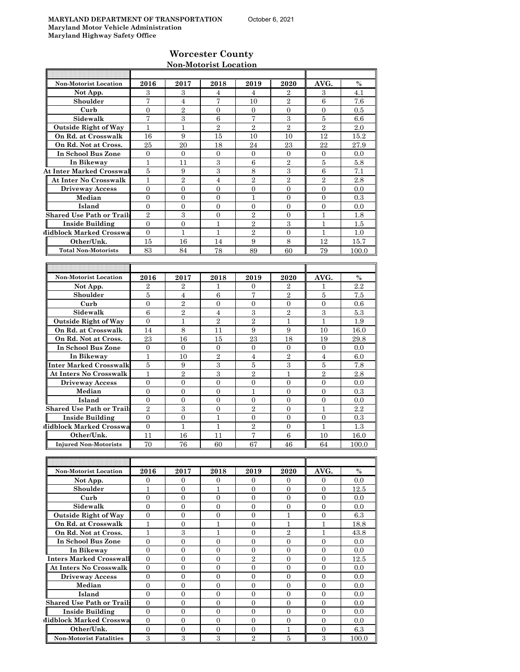**IF** 

### **Worcester County Non-Motorist Location**

| <b>Non-Motorist Location</b>     | 2016           | 2017             | 2018             | 2019             | 2020             | AVG.             | $\%$       |
|----------------------------------|----------------|------------------|------------------|------------------|------------------|------------------|------------|
| Not App.                         | 3              | 3                | 4                | 4                | $\overline{2}$   | 3                | 4.1        |
| Shoulder                         | 7              | $\overline{4}$   | 7                | 10               | $\overline{2}$   | 6                | 7.6        |
| Curb                             | 0              | $\overline{2}$   | 0                | $\mathbf{0}$     | $\mathbf{0}$     | 0                | $0.5\,$    |
| Sidewalk                         | 7              | 3                | 6                | $\overline{7}$   | 3                | $\overline{5}$   | 6.6        |
| <b>Outside Right of Way</b>      | $\mathbf{1}$   | $\mathbf{1}$     | $\overline{2}$   | $\overline{2}$   | $\overline{2}$   | $\overline{2}$   | 2.0        |
| On Rd. at Crosswalk              | 16             | 9                | 15               | 10               | 10               | 12               | 15.2       |
| On Rd. Not at Cross.             | 25             | 20               | 18               | 24               | 23               | 22               | 27.9       |
| In School Bus Zone               | $\mathbf{0}$   | $\mathbf{0}$     | $\overline{0}$   | $\mathbf{0}$     | $\mathbf{0}$     | $\theta$         | 0.0        |
| In Bikeway                       | $\mathbf{1}$   | 11               | 3                | $\,6$            | $\overline{2}$   | 5                | 5.8        |
| <b>At Inter Marked Crosswal</b>  | 5              | 9                | 3                | 8                | 3                | 6                | 7.1        |
| <b>At Inter No Crosswalk</b>     | 1              | $\overline{2}$   | $\overline{4}$   | $\overline{2}$   | $\overline{2}$   | $\overline{2}$   | 2.8        |
| <b>Driveway Access</b>           | $\overline{0}$ | $\Omega$         | $\overline{0}$   | $\overline{0}$   | $\Omega$         | $\Omega$         | 0.0        |
| Median                           | $\mathbf{0}$   | $\Omega$         | $\overline{0}$   | 1                | $\Omega$         | $\Omega$         | 0.3        |
| Island                           | $\overline{0}$ | $\overline{0}$   | $\overline{0}$   | $\mathbf{0}$     | $\overline{0}$   | $\overline{0}$   | 0.0        |
| <b>Shared Use Path or Trails</b> | $\overline{2}$ | 3                | $\overline{0}$   | $\overline{2}$   | $\mathbf{0}$     | $\mathbf{1}$     | 1.8        |
| <b>Inside Building</b>           | $\overline{0}$ | $\overline{0}$   | 1                | $\overline{2}$   | 3                | $\mathbf{1}$     | 1.5        |
| Midblock Marked Crosswa          | $\mathbf{0}$   | $\mathbf{1}$     | 1                | $\overline{2}$   | $\mathbf{0}$     | 1                | 1.0        |
| Other/Unk.                       | 15             | 16               | 14               | 9                | 8                | 12               | 15.7       |
| <b>Total Non-Motorists</b>       | 83             | 84               | 78               | 89               | 60               | 79               | 100.0      |
|                                  |                |                  |                  |                  |                  |                  |            |
|                                  |                |                  |                  |                  |                  |                  |            |
| <b>Non-Motorist Location</b>     | 2016           | 2017             | 2018             | 2019             | 2020             | AVG.             | $\%$       |
| Not App.                         | $\overline{2}$ | $\overline{2}$   | 1                | 0                | $\overline{2}$   | 1                | 2.2        |
| Shoulder                         | 5              | $\overline{4}$   | 6                | $\overline{7}$   | $\overline{2}$   | 5                | 7.5        |
| Curb                             | $\mathbf{0}$   | $\sqrt{2}$       | 0                | $\mathbf{0}$     | 0                | $\mathbf{0}$     | 0.6        |
| Sidewalk                         | 6              | $\overline{2}$   | $\overline{4}$   | 3                | $\overline{2}$   | 3                | 5.3        |
| <b>Outside Right of Way</b>      | $\mathbf{0}$   | $\mathbf{1}$     | $\overline{2}$   | $\overline{2}$   | $\mathbf{1}$     | $\mathbf{1}$     | 1.9        |
| On Rd. at Crosswalk              | 14             | 8                | 11               | 9                | 9                | 10               | 16.0       |
| On Rd. Not at Cross.             | 23             | 16               | 15               | 23               | 18               | 19               | 29.8       |
| In School Bus Zone               | $\Omega$       | $\mathbf{0}$     | $\overline{0}$   | $\mathbf{0}$     | $\mathbf{0}$     | $\overline{0}$   | 0.0        |
| In Bikeway                       | $\mathbf{1}$   | 10               | $\overline{2}$   | $\overline{4}$   | $\overline{2}$   | $\overline{4}$   | 6.0        |
| Inter Marked Crosswalk           | 5              | 9                | 3                | 5                | 3                | 5                | 7.8        |
| <b>At Inters No Crosswalk</b>    | $\mathbf{1}$   | $\overline{2}$   | 3                | $\overline{2}$   | 1                | $\overline{2}$   | 2.8        |
| <b>Driveway Access</b>           | $\mathbf{0}$   | $\overline{0}$   | $\overline{0}$   | $\overline{0}$   | $\overline{0}$   | $\overline{0}$   | 0.0        |
| Median                           | $\overline{0}$ | $\overline{0}$   | $\overline{0}$   | 1                | $\overline{0}$   | $\overline{0}$   | 0.3        |
| Island                           | $\mathbf{0}$   | $\overline{0}$   | $\overline{0}$   | $\mathbf{0}$     | $\overline{0}$   | $\overline{0}$   | 0.0        |
| <b>Shared Use Path or Trails</b> | $\overline{2}$ | 3                | $\overline{0}$   | $\overline{2}$   | $\Omega$         | $\mathbf{1}$     | 2.2        |
| <b>Inside Building</b>           | $\overline{0}$ | $\overline{0}$   | 1                | $\mathbf{0}$     | $\overline{0}$   | $\overline{0}$   | 0.3        |
| Midblock Marked Crosswa          | $\overline{0}$ | 1                | 1                | $\overline{2}$   | $\mathbf{0}$     | $\mathbf{1}$     | $1.3\,$    |
| Other/Unk.                       | 11             | 16               | 11               | $\overline{7}$   | 6                | 10               | 16.0       |
| <b>Injured Non-Motorists</b>     | 70             | 76               | 60               | 67               | 46               | 64               | 100.0      |
|                                  |                |                  |                  |                  |                  |                  |            |
|                                  |                |                  |                  |                  |                  |                  |            |
| Non-Motorist Location            | 2016           | 2017             | 2018             | 2019             | 2020             | AVG.             | $\%$       |
| Not App.                         | $\overline{0}$ | $\overline{0}$   | 0                | $\overline{0}$   | $\overline{0}$   | $\mathbf{0}$     | 0.0        |
| Shoulder                         | $\mathbf{1}$   | $\boldsymbol{0}$ | 1                | $\mathbf{0}$     | $\mathbf{0}$     | $\overline{0}$   | 12.5       |
| Curb                             | $\overline{0}$ | 0                | 0                | $\overline{0}$   | $\mathbf{0}$     | $\mathbf{0}$     | 0.0        |
| Sidewalk                         | $\overline{0}$ | $\overline{0}$   | $\overline{0}$   | $\overline{0}$   | $\overline{0}$   | $\mathbf{0}$     | 0.0        |
| <b>Outside Right of Way</b>      | $\mathbf{0}$   | $\overline{0}$   | $\boldsymbol{0}$ | $\overline{0}$   | $\mathbf{1}$     | $\boldsymbol{0}$ | 6.3        |
| On Rd. at Crosswalk              | $\mathbf{1}$   | $\boldsymbol{0}$ | $\mathbf{1}$     | $\overline{0}$   | $\mathbf{1}$     | $\mathbf{1}$     | 18.8       |
| On Rd. Not at Cross.             | 1              | $\,3$            | 1                | 0                | $\overline{2}$   | 1                | 43.8       |
| In School Bus Zone               | $\mathbf{0}$   | $\overline{0}$   | $\boldsymbol{0}$ | $\mathbf{0}$     | $\mathbf{0}$     | $\overline{0}$   | 0.0        |
| In Bikeway                       | $\mathbf{0}$   | $\overline{0}$   | $\overline{0}$   | $\mathbf{0}$     | $\mathbf{0}$     | $\mathbf{0}$     | 0.0        |
| Inters Marked Crosswall          | $\overline{0}$ | $\overline{0}$   | 0                | $\,2$            | $\overline{0}$   | $\mathbf{0}$     | 12.5       |
| <b>At Inters No Crosswalk</b>    | 0              | 0                | 0                | $\mathbf{0}$     | $\overline{0}$   | $\mathbf{0}$     | 0.0        |
| <b>Driveway Access</b>           | $\overline{0}$ | $\overline{0}$   | $\overline{0}$   | $\overline{0}$   | $\overline{0}$   | $\overline{0}$   | 0.0        |
| Median                           | $\mathbf{0}$   | $\overline{0}$   | $\boldsymbol{0}$ | $\overline{0}$   | $\mathbf{0}$     | $\overline{0}$   | 0.0        |
| Island                           | $\overline{0}$ | 0                | 0                | 0                | $\mathbf{0}$     | $\mathbf{0}$     |            |
| <b>Shared Use Path or Trails</b> | $\overline{0}$ | $\overline{0}$   | $\overline{0}$   | $\overline{0}$   | $\mathbf{0}$     | $\mathbf{0}$     | 0.0<br>0.0 |
| <b>Inside Building</b>           | $\mathbf{0}$   | $\mathbf{0}$     | $\boldsymbol{0}$ | $\boldsymbol{0}$ | $\mathbf{0}$     | $\mathbf{0}$     | 0.0        |
| Midblock Marked Crosswa          | $\overline{0}$ | $\overline{0}$   | 0                | $\overline{0}$   | $\boldsymbol{0}$ | $\boldsymbol{0}$ | $0.0\,$    |
|                                  |                |                  |                  |                  |                  |                  |            |
| Other/Unk.                       | $\mathbf{0}$   | $\overline{0}$   | $\boldsymbol{0}$ | $\boldsymbol{0}$ | $\mathbf{1}$     | $\boldsymbol{0}$ | $6.3\,$    |

**Non-Motorist Fatalities** 3 3 3 3 3 3 3 3 3 3 100.0